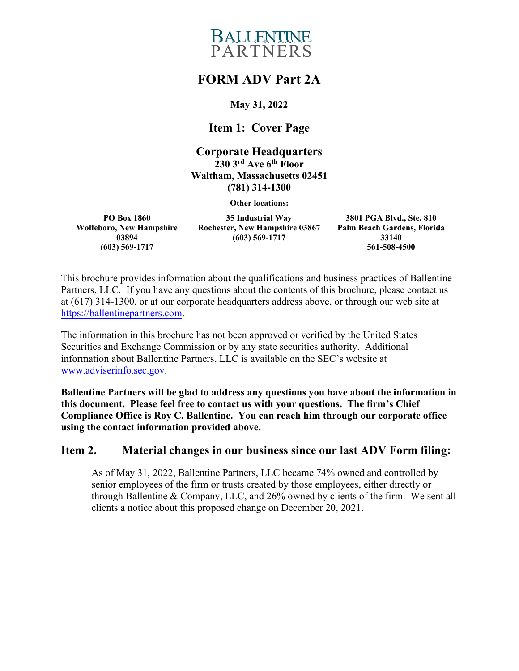

# **FORM ADV Part 2A**

**May 31, 2022** 

**Item 1: Cover Page** 

**Corporate Headquarters 230 3rd Ave 6th Floor Waltham, Massachusetts 02451 (781) 314-1300** 

**Other locations:** 

**PO Box 1860 Wolfeboro, New Hampshire 03894 (603) 569-1717** 

**35 Industrial Way Rochester, New Hampshire 03867 (603) 569-1717** 

**3801 PGA Blvd., Ste. 810 Palm Beach Gardens, Florida 33140 561-508-4500** 

This brochure provides information about the qualifications and business practices of Ballentine Partners, LLC. If you have any questions about the contents of this brochure, please contact us at (617) 314-1300, or at our corporate headquarters address above, or through our web site at https://ballentinepartners.com.

The information in this brochure has not been approved or verified by the United States Securities and Exchange Commission or by any state securities authority. Additional information about Ballentine Partners, LLC is available on the SEC's website at www.adviserinfo.sec.gov.

**Ballentine Partners will be glad to address any questions you have about the information in this document. Please feel free to contact us with your questions. The firm's Chief Compliance Office is Roy C. Ballentine. You can reach him through our corporate office using the contact information provided above.** 

# **Item 2. Material changes in our business since our last ADV Form filing:**

As of May 31, 2022, Ballentine Partners, LLC became 74% owned and controlled by senior employees of the firm or trusts created by those employees, either directly or through Ballentine & Company, LLC, and 26% owned by clients of the firm. We sent all clients a notice about this proposed change on December 20, 2021.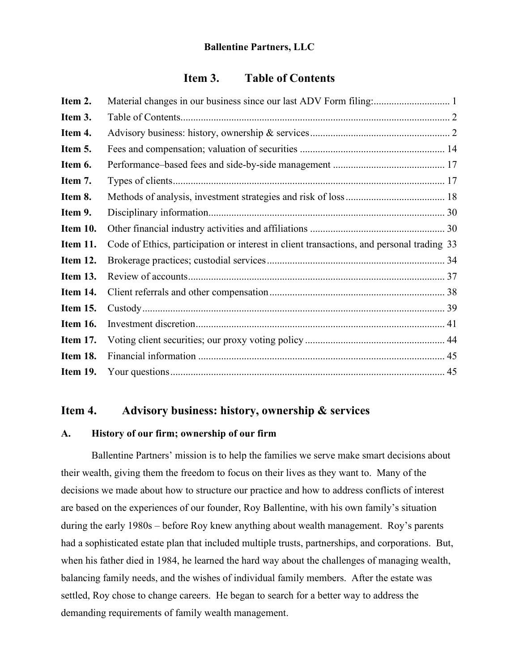# **Item 3. Table of Contents**

| Item 2.  |                                                                                           |
|----------|-------------------------------------------------------------------------------------------|
| Item 3.  |                                                                                           |
| Item 4.  |                                                                                           |
| Item 5.  |                                                                                           |
| Item 6.  |                                                                                           |
| Item 7.  |                                                                                           |
| Item 8.  |                                                                                           |
| Item 9.  |                                                                                           |
| Item 10. |                                                                                           |
| Item 11. | Code of Ethics, participation or interest in client transactions, and personal trading 33 |
| Item 12. |                                                                                           |
| Item 13. |                                                                                           |
| Item 14. |                                                                                           |
| Item 15. |                                                                                           |
| Item 16. |                                                                                           |
| Item 17. |                                                                                           |
| Item 18. |                                                                                           |
| Item 19. |                                                                                           |

# **Item 4. Advisory business: history, ownership & services**

## **A. History of our firm; ownership of our firm**

Ballentine Partners' mission is to help the families we serve make smart decisions about their wealth, giving them the freedom to focus on their lives as they want to. Many of the decisions we made about how to structure our practice and how to address conflicts of interest are based on the experiences of our founder, Roy Ballentine, with his own family's situation during the early 1980s – before Roy knew anything about wealth management. Roy's parents had a sophisticated estate plan that included multiple trusts, partnerships, and corporations. But, when his father died in 1984, he learned the hard way about the challenges of managing wealth, balancing family needs, and the wishes of individual family members. After the estate was settled, Roy chose to change careers. He began to search for a better way to address the demanding requirements of family wealth management.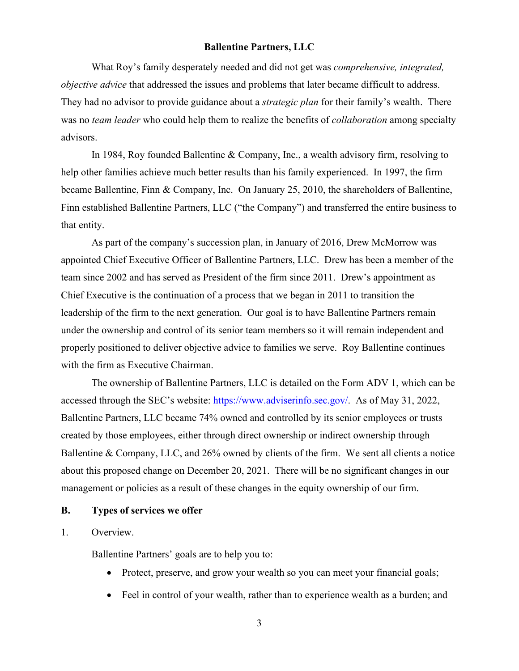What Roy's family desperately needed and did not get was *comprehensive, integrated, objective advice* that addressed the issues and problems that later became difficult to address. They had no advisor to provide guidance about a *strategic plan* for their family's wealth. There was no *team leader* who could help them to realize the benefits of *collaboration* among specialty advisors.

In 1984, Roy founded Ballentine & Company, Inc., a wealth advisory firm, resolving to help other families achieve much better results than his family experienced. In 1997, the firm became Ballentine, Finn & Company, Inc. On January 25, 2010, the shareholders of Ballentine, Finn established Ballentine Partners, LLC ("the Company") and transferred the entire business to that entity.

As part of the company's succession plan, in January of 2016, Drew McMorrow was appointed Chief Executive Officer of Ballentine Partners, LLC. Drew has been a member of the team since 2002 and has served as President of the firm since 2011. Drew's appointment as Chief Executive is the continuation of a process that we began in 2011 to transition the leadership of the firm to the next generation. Our goal is to have Ballentine Partners remain under the ownership and control of its senior team members so it will remain independent and properly positioned to deliver objective advice to families we serve. Roy Ballentine continues with the firm as Executive Chairman.

The ownership of Ballentine Partners, LLC is detailed on the Form ADV 1, which can be accessed through the SEC's website: https://www.adviserinfo.sec.gov/. As of May 31, 2022, Ballentine Partners, LLC became 74% owned and controlled by its senior employees or trusts created by those employees, either through direct ownership or indirect ownership through Ballentine & Company, LLC, and 26% owned by clients of the firm. We sent all clients a notice about this proposed change on December 20, 2021. There will be no significant changes in our management or policies as a result of these changes in the equity ownership of our firm.

### **B. Types of services we offer**

### 1. Overview.

Ballentine Partners' goals are to help you to:

- Protect, preserve, and grow your wealth so you can meet your financial goals;
- Feel in control of your wealth, rather than to experience wealth as a burden; and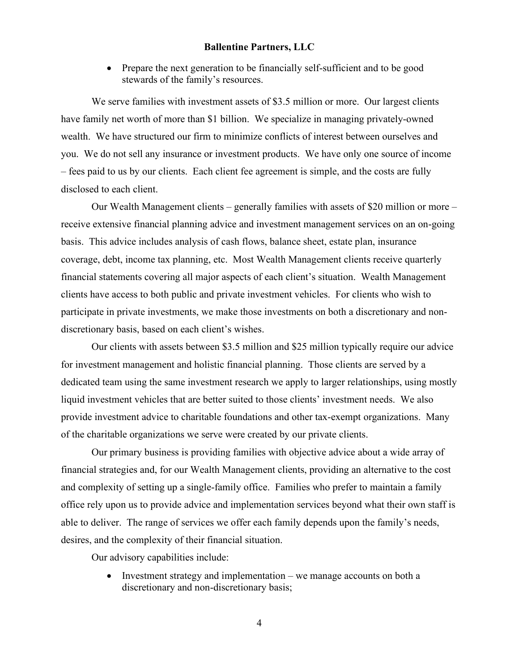• Prepare the next generation to be financially self-sufficient and to be good stewards of the family's resources.

We serve families with investment assets of \$3.5 million or more. Our largest clients have family net worth of more than \$1 billion. We specialize in managing privately-owned wealth. We have structured our firm to minimize conflicts of interest between ourselves and you. We do not sell any insurance or investment products. We have only one source of income – fees paid to us by our clients. Each client fee agreement is simple, and the costs are fully disclosed to each client.

Our Wealth Management clients – generally families with assets of \$20 million or more – receive extensive financial planning advice and investment management services on an on-going basis. This advice includes analysis of cash flows, balance sheet, estate plan, insurance coverage, debt, income tax planning, etc. Most Wealth Management clients receive quarterly financial statements covering all major aspects of each client's situation. Wealth Management clients have access to both public and private investment vehicles. For clients who wish to participate in private investments, we make those investments on both a discretionary and nondiscretionary basis, based on each client's wishes.

Our clients with assets between \$3.5 million and \$25 million typically require our advice for investment management and holistic financial planning. Those clients are served by a dedicated team using the same investment research we apply to larger relationships, using mostly liquid investment vehicles that are better suited to those clients' investment needs. We also provide investment advice to charitable foundations and other tax-exempt organizations. Many of the charitable organizations we serve were created by our private clients.

Our primary business is providing families with objective advice about a wide array of financial strategies and, for our Wealth Management clients, providing an alternative to the cost and complexity of setting up a single-family office. Families who prefer to maintain a family office rely upon us to provide advice and implementation services beyond what their own staff is able to deliver. The range of services we offer each family depends upon the family's needs, desires, and the complexity of their financial situation.

Our advisory capabilities include:

 $\bullet$  Investment strategy and implementation – we manage accounts on both a discretionary and non-discretionary basis;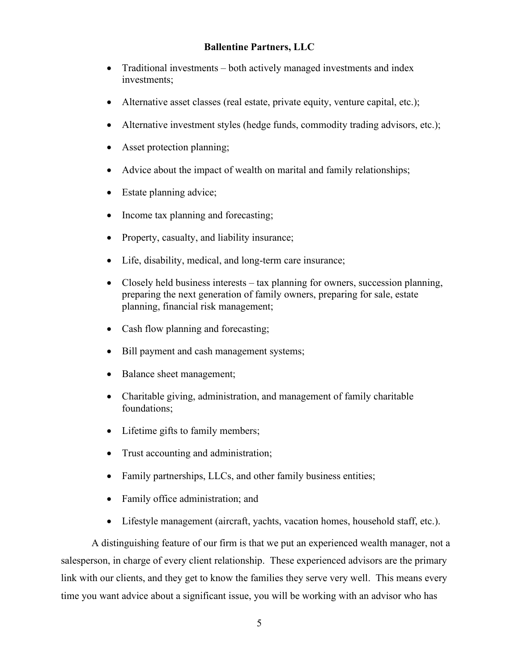- Traditional investments both actively managed investments and index investments;
- Alternative asset classes (real estate, private equity, venture capital, etc.);
- Alternative investment styles (hedge funds, commodity trading advisors, etc.);
- Asset protection planning;
- Advice about the impact of wealth on marital and family relationships;
- Estate planning advice;
- Income tax planning and forecasting;
- Property, casualty, and liability insurance;
- Life, disability, medical, and long-term care insurance;
- Closely held business interests tax planning for owners, succession planning, preparing the next generation of family owners, preparing for sale, estate planning, financial risk management;
- Cash flow planning and forecasting;
- Bill payment and cash management systems;
- Balance sheet management;
- Charitable giving, administration, and management of family charitable foundations;
- Lifetime gifts to family members;
- Trust accounting and administration;
- Family partnerships, LLCs, and other family business entities;
- Family office administration; and
- Lifestyle management (aircraft, yachts, vacation homes, household staff, etc.).

A distinguishing feature of our firm is that we put an experienced wealth manager, not a salesperson, in charge of every client relationship. These experienced advisors are the primary link with our clients, and they get to know the families they serve very well. This means every time you want advice about a significant issue, you will be working with an advisor who has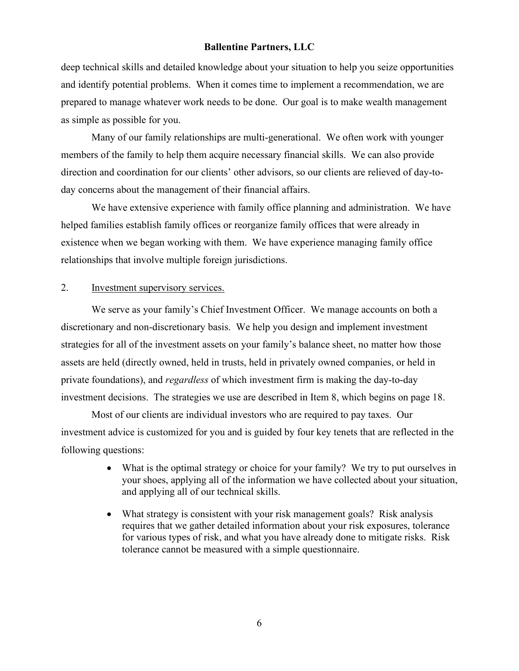deep technical skills and detailed knowledge about your situation to help you seize opportunities and identify potential problems. When it comes time to implement a recommendation, we are prepared to manage whatever work needs to be done. Our goal is to make wealth management as simple as possible for you.

Many of our family relationships are multi-generational. We often work with younger members of the family to help them acquire necessary financial skills. We can also provide direction and coordination for our clients' other advisors, so our clients are relieved of day-today concerns about the management of their financial affairs.

We have extensive experience with family office planning and administration. We have helped families establish family offices or reorganize family offices that were already in existence when we began working with them. We have experience managing family office relationships that involve multiple foreign jurisdictions.

#### 2. Investment supervisory services.

We serve as your family's Chief Investment Officer. We manage accounts on both a discretionary and non-discretionary basis. We help you design and implement investment strategies for all of the investment assets on your family's balance sheet, no matter how those assets are held (directly owned, held in trusts, held in privately owned companies, or held in private foundations), and *regardless* of which investment firm is making the day-to-day investment decisions. The strategies we use are described in Item 8, which begins on page 18.

Most of our clients are individual investors who are required to pay taxes. Our investment advice is customized for you and is guided by four key tenets that are reflected in the following questions:

- What is the optimal strategy or choice for your family? We try to put ourselves in your shoes, applying all of the information we have collected about your situation, and applying all of our technical skills.
- What strategy is consistent with your risk management goals? Risk analysis requires that we gather detailed information about your risk exposures, tolerance for various types of risk, and what you have already done to mitigate risks. Risk tolerance cannot be measured with a simple questionnaire.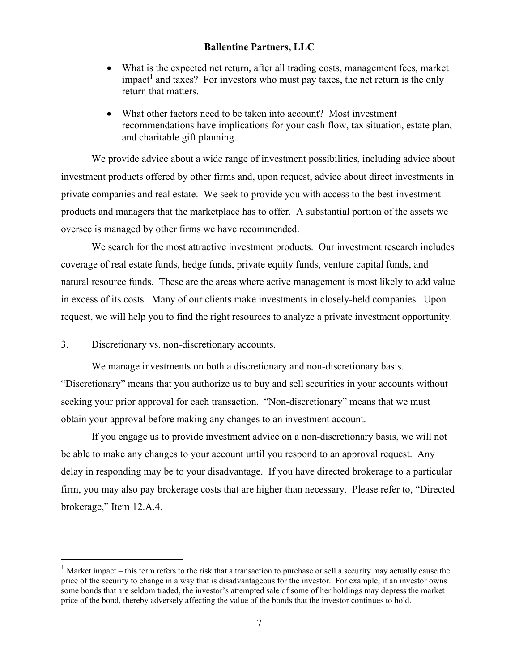- What is the expected net return, after all trading costs, management fees, market impact<sup>1</sup> and taxes? For investors who must pay taxes, the net return is the only return that matters.
- What other factors need to be taken into account? Most investment recommendations have implications for your cash flow, tax situation, estate plan, and charitable gift planning.

We provide advice about a wide range of investment possibilities, including advice about investment products offered by other firms and, upon request, advice about direct investments in private companies and real estate. We seek to provide you with access to the best investment products and managers that the marketplace has to offer. A substantial portion of the assets we oversee is managed by other firms we have recommended.

We search for the most attractive investment products. Our investment research includes coverage of real estate funds, hedge funds, private equity funds, venture capital funds, and natural resource funds. These are the areas where active management is most likely to add value in excess of its costs. Many of our clients make investments in closely-held companies. Upon request, we will help you to find the right resources to analyze a private investment opportunity.

### 3. Discretionary vs. non-discretionary accounts.

We manage investments on both a discretionary and non-discretionary basis. "Discretionary" means that you authorize us to buy and sell securities in your accounts without seeking your prior approval for each transaction. "Non-discretionary" means that we must obtain your approval before making any changes to an investment account.

If you engage us to provide investment advice on a non-discretionary basis, we will not be able to make any changes to your account until you respond to an approval request. Any delay in responding may be to your disadvantage. If you have directed brokerage to a particular firm, you may also pay brokerage costs that are higher than necessary. Please refer to, "Directed brokerage," Item 12.A.4.

 $<sup>1</sup>$  Market impact – this term refers to the risk that a transaction to purchase or sell a security may actually cause the</sup> price of the security to change in a way that is disadvantageous for the investor. For example, if an investor owns some bonds that are seldom traded, the investor's attempted sale of some of her holdings may depress the market price of the bond, thereby adversely affecting the value of the bonds that the investor continues to hold.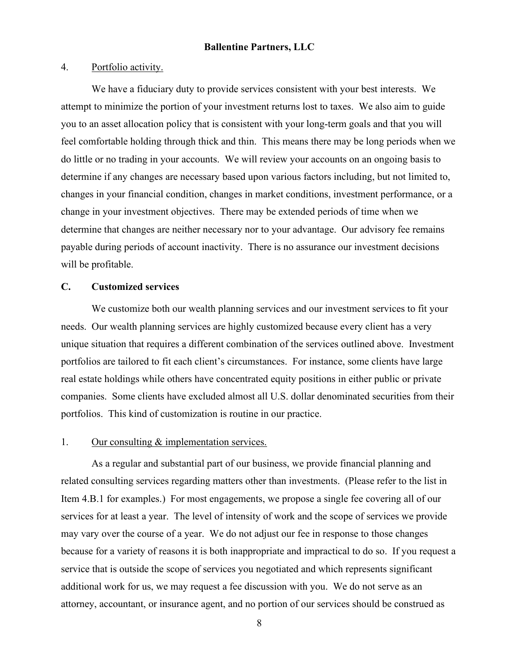#### 4. Portfolio activity.

We have a fiduciary duty to provide services consistent with your best interests. We attempt to minimize the portion of your investment returns lost to taxes. We also aim to guide you to an asset allocation policy that is consistent with your long-term goals and that you will feel comfortable holding through thick and thin. This means there may be long periods when we do little or no trading in your accounts. We will review your accounts on an ongoing basis to determine if any changes are necessary based upon various factors including, but not limited to, changes in your financial condition, changes in market conditions, investment performance, or a change in your investment objectives. There may be extended periods of time when we determine that changes are neither necessary nor to your advantage. Our advisory fee remains payable during periods of account inactivity. There is no assurance our investment decisions will be profitable.

#### **C. Customized services**

We customize both our wealth planning services and our investment services to fit your needs. Our wealth planning services are highly customized because every client has a very unique situation that requires a different combination of the services outlined above. Investment portfolios are tailored to fit each client's circumstances. For instance, some clients have large real estate holdings while others have concentrated equity positions in either public or private companies. Some clients have excluded almost all U.S. dollar denominated securities from their portfolios. This kind of customization is routine in our practice.

#### 1. Our consulting & implementation services.

As a regular and substantial part of our business, we provide financial planning and related consulting services regarding matters other than investments. (Please refer to the list in Item 4.B.1 for examples.) For most engagements, we propose a single fee covering all of our services for at least a year. The level of intensity of work and the scope of services we provide may vary over the course of a year. We do not adjust our fee in response to those changes because for a variety of reasons it is both inappropriate and impractical to do so. If you request a service that is outside the scope of services you negotiated and which represents significant additional work for us, we may request a fee discussion with you. We do not serve as an attorney, accountant, or insurance agent, and no portion of our services should be construed as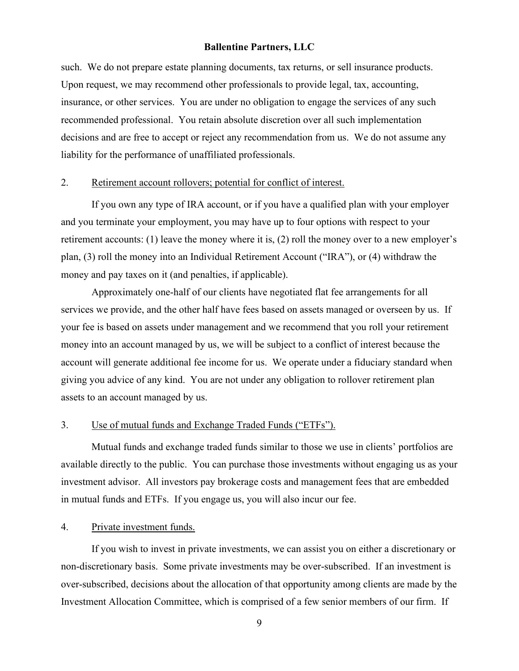such. We do not prepare estate planning documents, tax returns, or sell insurance products. Upon request, we may recommend other professionals to provide legal, tax, accounting, insurance, or other services. You are under no obligation to engage the services of any such recommended professional. You retain absolute discretion over all such implementation decisions and are free to accept or reject any recommendation from us. We do not assume any liability for the performance of unaffiliated professionals.

## 2. Retirement account rollovers; potential for conflict of interest.

If you own any type of IRA account, or if you have a qualified plan with your employer and you terminate your employment, you may have up to four options with respect to your retirement accounts: (1) leave the money where it is, (2) roll the money over to a new employer's plan, (3) roll the money into an Individual Retirement Account ("IRA"), or (4) withdraw the money and pay taxes on it (and penalties, if applicable).

Approximately one-half of our clients have negotiated flat fee arrangements for all services we provide, and the other half have fees based on assets managed or overseen by us. If your fee is based on assets under management and we recommend that you roll your retirement money into an account managed by us, we will be subject to a conflict of interest because the account will generate additional fee income for us. We operate under a fiduciary standard when giving you advice of any kind. You are not under any obligation to rollover retirement plan assets to an account managed by us.

## 3. Use of mutual funds and Exchange Traded Funds ("ETFs").

Mutual funds and exchange traded funds similar to those we use in clients' portfolios are available directly to the public. You can purchase those investments without engaging us as your investment advisor. All investors pay brokerage costs and management fees that are embedded in mutual funds and ETFs. If you engage us, you will also incur our fee.

### 4. Private investment funds.

If you wish to invest in private investments, we can assist you on either a discretionary or non-discretionary basis. Some private investments may be over-subscribed. If an investment is over-subscribed, decisions about the allocation of that opportunity among clients are made by the Investment Allocation Committee, which is comprised of a few senior members of our firm. If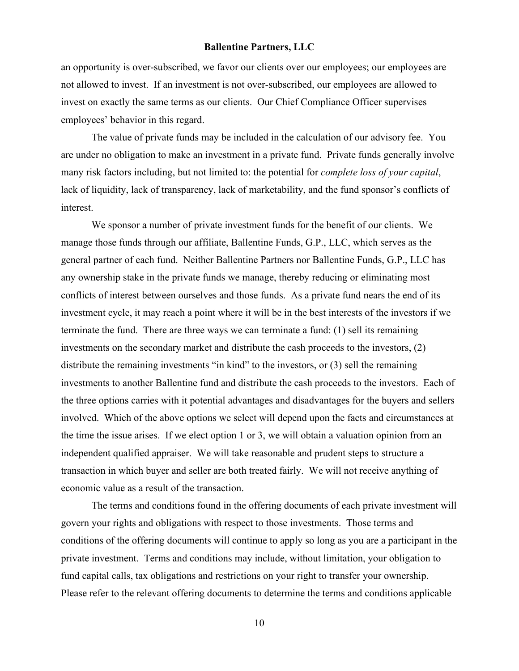an opportunity is over-subscribed, we favor our clients over our employees; our employees are not allowed to invest. If an investment is not over-subscribed, our employees are allowed to invest on exactly the same terms as our clients. Our Chief Compliance Officer supervises employees' behavior in this regard.

The value of private funds may be included in the calculation of our advisory fee. You are under no obligation to make an investment in a private fund. Private funds generally involve many risk factors including, but not limited to: the potential for *complete loss of your capital*, lack of liquidity, lack of transparency, lack of marketability, and the fund sponsor's conflicts of interest.

We sponsor a number of private investment funds for the benefit of our clients. We manage those funds through our affiliate, Ballentine Funds, G.P., LLC, which serves as the general partner of each fund. Neither Ballentine Partners nor Ballentine Funds, G.P., LLC has any ownership stake in the private funds we manage, thereby reducing or eliminating most conflicts of interest between ourselves and those funds. As a private fund nears the end of its investment cycle, it may reach a point where it will be in the best interests of the investors if we terminate the fund. There are three ways we can terminate a fund: (1) sell its remaining investments on the secondary market and distribute the cash proceeds to the investors, (2) distribute the remaining investments "in kind" to the investors, or (3) sell the remaining investments to another Ballentine fund and distribute the cash proceeds to the investors. Each of the three options carries with it potential advantages and disadvantages for the buyers and sellers involved. Which of the above options we select will depend upon the facts and circumstances at the time the issue arises. If we elect option 1 or 3, we will obtain a valuation opinion from an independent qualified appraiser. We will take reasonable and prudent steps to structure a transaction in which buyer and seller are both treated fairly. We will not receive anything of economic value as a result of the transaction.

The terms and conditions found in the offering documents of each private investment will govern your rights and obligations with respect to those investments. Those terms and conditions of the offering documents will continue to apply so long as you are a participant in the private investment. Terms and conditions may include, without limitation, your obligation to fund capital calls, tax obligations and restrictions on your right to transfer your ownership. Please refer to the relevant offering documents to determine the terms and conditions applicable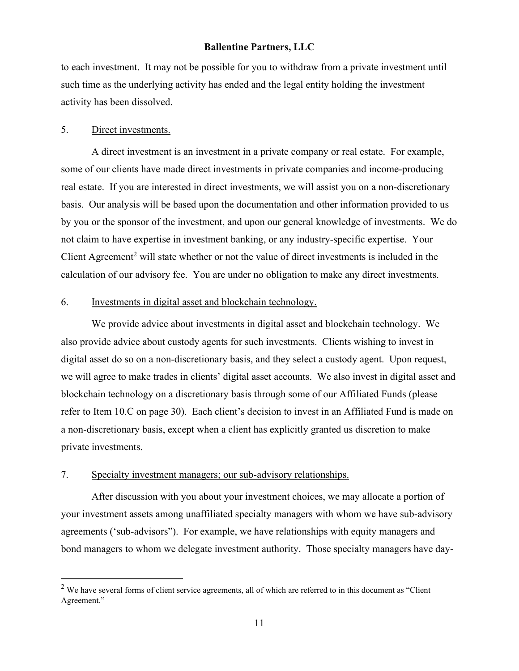to each investment. It may not be possible for you to withdraw from a private investment until such time as the underlying activity has ended and the legal entity holding the investment activity has been dissolved.

#### 5. Direct investments.

A direct investment is an investment in a private company or real estate. For example, some of our clients have made direct investments in private companies and income-producing real estate. If you are interested in direct investments, we will assist you on a non-discretionary basis. Our analysis will be based upon the documentation and other information provided to us by you or the sponsor of the investment, and upon our general knowledge of investments. We do not claim to have expertise in investment banking, or any industry-specific expertise. Your Client Agreement<sup>2</sup> will state whether or not the value of direct investments is included in the calculation of our advisory fee. You are under no obligation to make any direct investments.

### 6. Investments in digital asset and blockchain technology.

We provide advice about investments in digital asset and blockchain technology. We also provide advice about custody agents for such investments. Clients wishing to invest in digital asset do so on a non-discretionary basis, and they select a custody agent. Upon request, we will agree to make trades in clients' digital asset accounts. We also invest in digital asset and blockchain technology on a discretionary basis through some of our Affiliated Funds (please refer to Item 10.C on page 30). Each client's decision to invest in an Affiliated Fund is made on a non-discretionary basis, except when a client has explicitly granted us discretion to make private investments.

#### 7. Specialty investment managers; our sub-advisory relationships.

After discussion with you about your investment choices, we may allocate a portion of your investment assets among unaffiliated specialty managers with whom we have sub-advisory agreements ('sub-advisors"). For example, we have relationships with equity managers and bond managers to whom we delegate investment authority. Those specialty managers have day-

 $2$  We have several forms of client service agreements, all of which are referred to in this document as "Client" Agreement."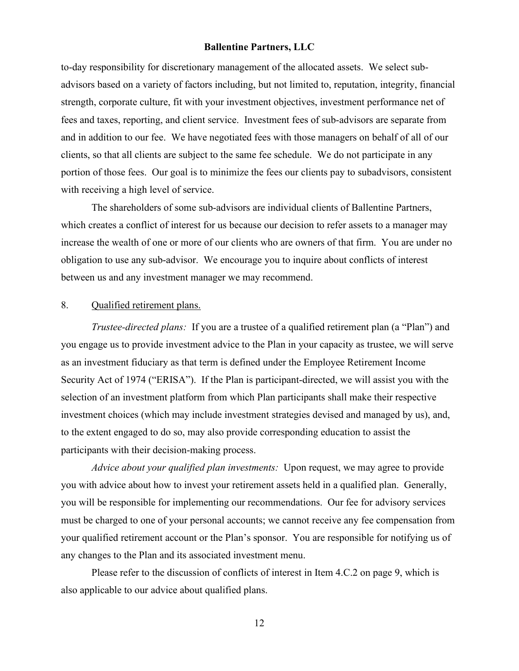to-day responsibility for discretionary management of the allocated assets. We select subadvisors based on a variety of factors including, but not limited to, reputation, integrity, financial strength, corporate culture, fit with your investment objectives, investment performance net of fees and taxes, reporting, and client service. Investment fees of sub-advisors are separate from and in addition to our fee. We have negotiated fees with those managers on behalf of all of our clients, so that all clients are subject to the same fee schedule. We do not participate in any portion of those fees. Our goal is to minimize the fees our clients pay to subadvisors, consistent with receiving a high level of service.

The shareholders of some sub-advisors are individual clients of Ballentine Partners, which creates a conflict of interest for us because our decision to refer assets to a manager may increase the wealth of one or more of our clients who are owners of that firm. You are under no obligation to use any sub-advisor. We encourage you to inquire about conflicts of interest between us and any investment manager we may recommend.

## 8. Qualified retirement plans.

*Trustee-directed plans:* If you are a trustee of a qualified retirement plan (a "Plan") and you engage us to provide investment advice to the Plan in your capacity as trustee, we will serve as an investment fiduciary as that term is defined under the Employee Retirement Income Security Act of 1974 ("ERISA"). If the Plan is participant-directed, we will assist you with the selection of an investment platform from which Plan participants shall make their respective investment choices (which may include investment strategies devised and managed by us), and, to the extent engaged to do so, may also provide corresponding education to assist the participants with their decision-making process.

*Advice about your qualified plan investments:* Upon request, we may agree to provide you with advice about how to invest your retirement assets held in a qualified plan. Generally, you will be responsible for implementing our recommendations. Our fee for advisory services must be charged to one of your personal accounts; we cannot receive any fee compensation from your qualified retirement account or the Plan's sponsor. You are responsible for notifying us of any changes to the Plan and its associated investment menu.

Please refer to the discussion of conflicts of interest in Item 4.C.2 on page 9, which is also applicable to our advice about qualified plans.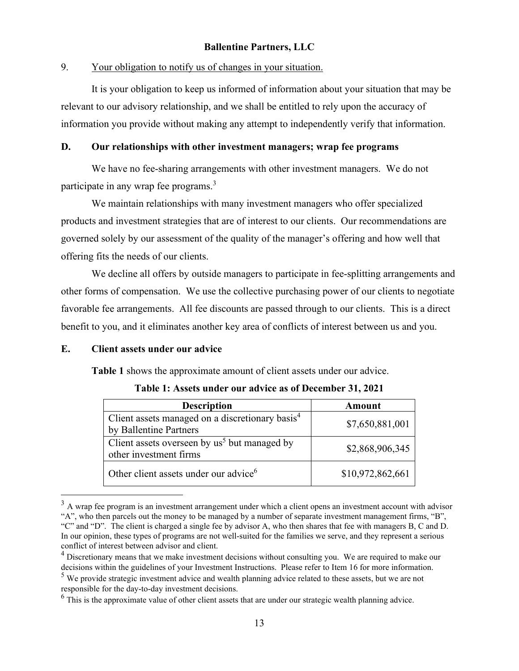9. Your obligation to notify us of changes in your situation.

It is your obligation to keep us informed of information about your situation that may be relevant to our advisory relationship, and we shall be entitled to rely upon the accuracy of information you provide without making any attempt to independently verify that information.

### **D. Our relationships with other investment managers; wrap fee programs**

We have no fee-sharing arrangements with other investment managers. We do not participate in any wrap fee programs.<sup>3</sup>

We maintain relationships with many investment managers who offer specialized products and investment strategies that are of interest to our clients. Our recommendations are governed solely by our assessment of the quality of the manager's offering and how well that offering fits the needs of our clients.

We decline all offers by outside managers to participate in fee-splitting arrangements and other forms of compensation. We use the collective purchasing power of our clients to negotiate favorable fee arrangements. All fee discounts are passed through to our clients. This is a direct benefit to you, and it eliminates another key area of conflicts of interest between us and you.

## **E. Client assets under our advice**

**Table 1** shows the approximate amount of client assets under our advice.

| <b>Description</b>                                                           | Amount           |
|------------------------------------------------------------------------------|------------------|
| Client assets managed on a discretionary basis $4$<br>by Ballentine Partners | \$7,650,881,001  |
| Client assets overseen by $us5$ but managed by<br>other investment firms     | \$2,868,906,345  |
| Other client assets under our advice <sup>6</sup>                            | \$10,972,862,661 |

**Table 1: Assets under our advice as of December 31, 2021** 

 $3$  A wrap fee program is an investment arrangement under which a client opens an investment account with advisor "A", who then parcels out the money to be managed by a number of separate investment management firms, "B", "C" and "D". The client is charged a single fee by advisor A, who then shares that fee with managers B, C and D. In our opinion, these types of programs are not well-suited for the families we serve, and they represent a serious conflict of interest between advisor and client.

<sup>&</sup>lt;sup>4</sup> Discretionary means that we make investment decisions without consulting you. We are required to make our decisions within the guidelines of your Investment Instructions. Please refer to Item 16 for more information.

<sup>&</sup>lt;sup>5</sup> We provide strategic investment advice and wealth planning advice related to these assets, but we are not responsible for the day-to-day investment decisions.

 $<sup>6</sup>$  This is the approximate value of other client assets that are under our strategic wealth planning advice.</sup>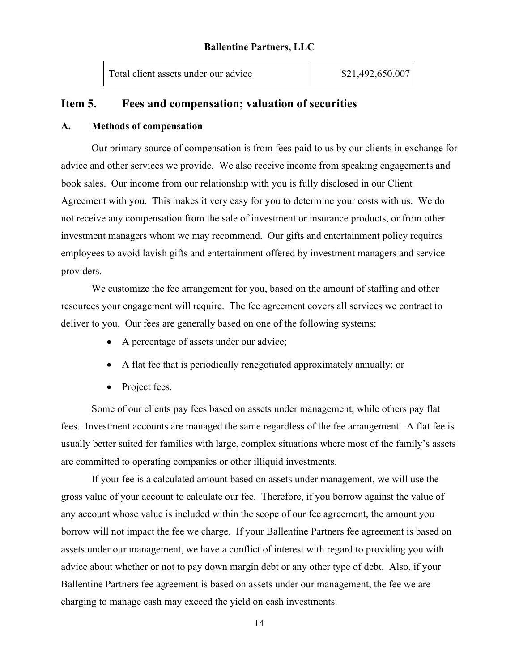Total client assets under our advice  $$21,492,650,007$ 

# **Item 5. Fees and compensation; valuation of securities**

## **A. Methods of compensation**

Our primary source of compensation is from fees paid to us by our clients in exchange for advice and other services we provide. We also receive income from speaking engagements and book sales. Our income from our relationship with you is fully disclosed in our Client Agreement with you. This makes it very easy for you to determine your costs with us. We do not receive any compensation from the sale of investment or insurance products, or from other investment managers whom we may recommend. Our gifts and entertainment policy requires employees to avoid lavish gifts and entertainment offered by investment managers and service providers.

We customize the fee arrangement for you, based on the amount of staffing and other resources your engagement will require. The fee agreement covers all services we contract to deliver to you. Our fees are generally based on one of the following systems:

- A percentage of assets under our advice;
- A flat fee that is periodically renegotiated approximately annually; or
- Project fees.

Some of our clients pay fees based on assets under management, while others pay flat fees. Investment accounts are managed the same regardless of the fee arrangement. A flat fee is usually better suited for families with large, complex situations where most of the family's assets are committed to operating companies or other illiquid investments.

If your fee is a calculated amount based on assets under management, we will use the gross value of your account to calculate our fee. Therefore, if you borrow against the value of any account whose value is included within the scope of our fee agreement, the amount you borrow will not impact the fee we charge. If your Ballentine Partners fee agreement is based on assets under our management, we have a conflict of interest with regard to providing you with advice about whether or not to pay down margin debt or any other type of debt. Also, if your Ballentine Partners fee agreement is based on assets under our management, the fee we are charging to manage cash may exceed the yield on cash investments.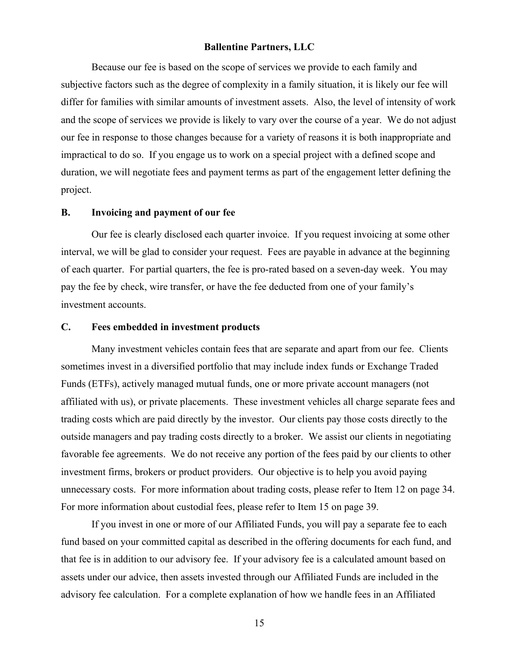Because our fee is based on the scope of services we provide to each family and subjective factors such as the degree of complexity in a family situation, it is likely our fee will differ for families with similar amounts of investment assets. Also, the level of intensity of work and the scope of services we provide is likely to vary over the course of a year. We do not adjust our fee in response to those changes because for a variety of reasons it is both inappropriate and impractical to do so. If you engage us to work on a special project with a defined scope and duration, we will negotiate fees and payment terms as part of the engagement letter defining the project.

## **B. Invoicing and payment of our fee**

Our fee is clearly disclosed each quarter invoice. If you request invoicing at some other interval, we will be glad to consider your request. Fees are payable in advance at the beginning of each quarter. For partial quarters, the fee is pro-rated based on a seven-day week. You may pay the fee by check, wire transfer, or have the fee deducted from one of your family's investment accounts.

### **C. Fees embedded in investment products**

Many investment vehicles contain fees that are separate and apart from our fee. Clients sometimes invest in a diversified portfolio that may include index funds or Exchange Traded Funds (ETFs), actively managed mutual funds, one or more private account managers (not affiliated with us), or private placements. These investment vehicles all charge separate fees and trading costs which are paid directly by the investor. Our clients pay those costs directly to the outside managers and pay trading costs directly to a broker. We assist our clients in negotiating favorable fee agreements. We do not receive any portion of the fees paid by our clients to other investment firms, brokers or product providers. Our objective is to help you avoid paying unnecessary costs. For more information about trading costs, please refer to Item 12 on page 34. For more information about custodial fees, please refer to Item 15 on page 39.

If you invest in one or more of our Affiliated Funds, you will pay a separate fee to each fund based on your committed capital as described in the offering documents for each fund, and that fee is in addition to our advisory fee. If your advisory fee is a calculated amount based on assets under our advice, then assets invested through our Affiliated Funds are included in the advisory fee calculation. For a complete explanation of how we handle fees in an Affiliated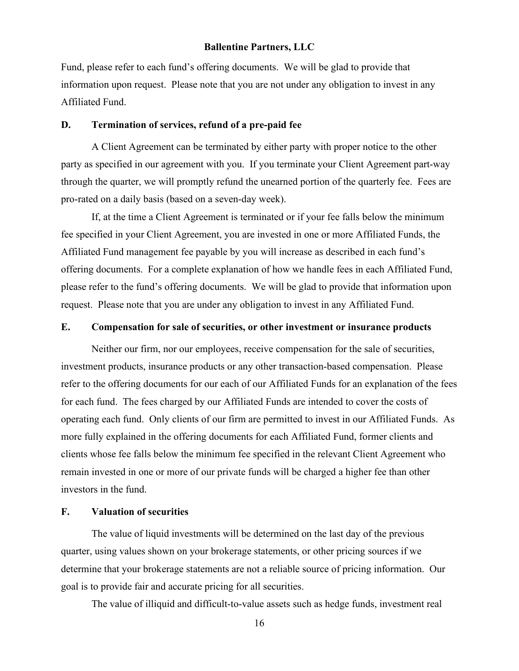Fund, please refer to each fund's offering documents. We will be glad to provide that information upon request. Please note that you are not under any obligation to invest in any Affiliated Fund.

#### **D. Termination of services, refund of a pre-paid fee**

A Client Agreement can be terminated by either party with proper notice to the other party as specified in our agreement with you. If you terminate your Client Agreement part-way through the quarter, we will promptly refund the unearned portion of the quarterly fee. Fees are pro-rated on a daily basis (based on a seven-day week).

If, at the time a Client Agreement is terminated or if your fee falls below the minimum fee specified in your Client Agreement, you are invested in one or more Affiliated Funds, the Affiliated Fund management fee payable by you will increase as described in each fund's offering documents. For a complete explanation of how we handle fees in each Affiliated Fund, please refer to the fund's offering documents. We will be glad to provide that information upon request. Please note that you are under any obligation to invest in any Affiliated Fund.

## **E. Compensation for sale of securities, or other investment or insurance products**

Neither our firm, nor our employees, receive compensation for the sale of securities, investment products, insurance products or any other transaction-based compensation. Please refer to the offering documents for our each of our Affiliated Funds for an explanation of the fees for each fund. The fees charged by our Affiliated Funds are intended to cover the costs of operating each fund. Only clients of our firm are permitted to invest in our Affiliated Funds. As more fully explained in the offering documents for each Affiliated Fund, former clients and clients whose fee falls below the minimum fee specified in the relevant Client Agreement who remain invested in one or more of our private funds will be charged a higher fee than other investors in the fund.

#### **F. Valuation of securities**

The value of liquid investments will be determined on the last day of the previous quarter, using values shown on your brokerage statements, or other pricing sources if we determine that your brokerage statements are not a reliable source of pricing information. Our goal is to provide fair and accurate pricing for all securities.

The value of illiquid and difficult-to-value assets such as hedge funds, investment real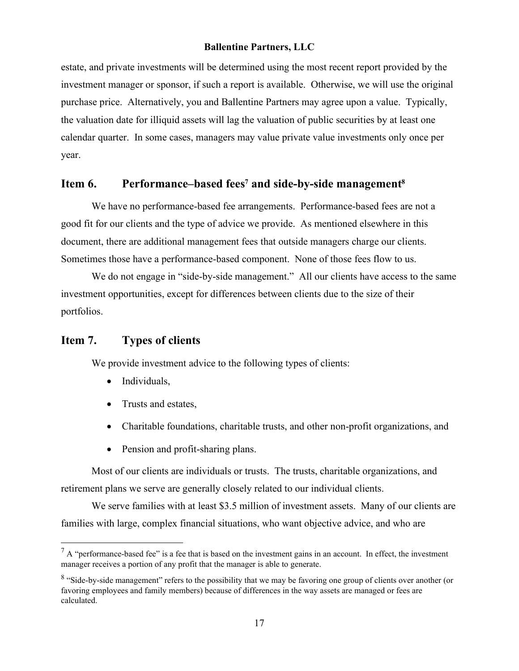estate, and private investments will be determined using the most recent report provided by the investment manager or sponsor, if such a report is available. Otherwise, we will use the original purchase price. Alternatively, you and Ballentine Partners may agree upon a value. Typically, the valuation date for illiquid assets will lag the valuation of public securities by at least one calendar quarter. In some cases, managers may value private value investments only once per year.

## **Item 6. Performance–based fees<sup>7</sup> and side-by-side management<sup>8</sup>**

We have no performance-based fee arrangements. Performance-based fees are not a good fit for our clients and the type of advice we provide. As mentioned elsewhere in this document, there are additional management fees that outside managers charge our clients. Sometimes those have a performance-based component. None of those fees flow to us.

We do not engage in "side-by-side management." All our clients have access to the same investment opportunities, except for differences between clients due to the size of their portfolios.

## **Item 7. Types of clients**

We provide investment advice to the following types of clients:

- Individuals,
- Trusts and estates,
- Charitable foundations, charitable trusts, and other non-profit organizations, and
- Pension and profit-sharing plans.

Most of our clients are individuals or trusts. The trusts, charitable organizations, and retirement plans we serve are generally closely related to our individual clients.

We serve families with at least \$3.5 million of investment assets. Many of our clients are families with large, complex financial situations, who want objective advice, and who are

 $<sup>7</sup>$  A "performance-based fee" is a fee that is based on the investment gains in an account. In effect, the investment</sup> manager receives a portion of any profit that the manager is able to generate.

<sup>&</sup>lt;sup>8</sup> "Side-by-side management" refers to the possibility that we may be favoring one group of clients over another (or favoring employees and family members) because of differences in the way assets are managed or fees are calculated.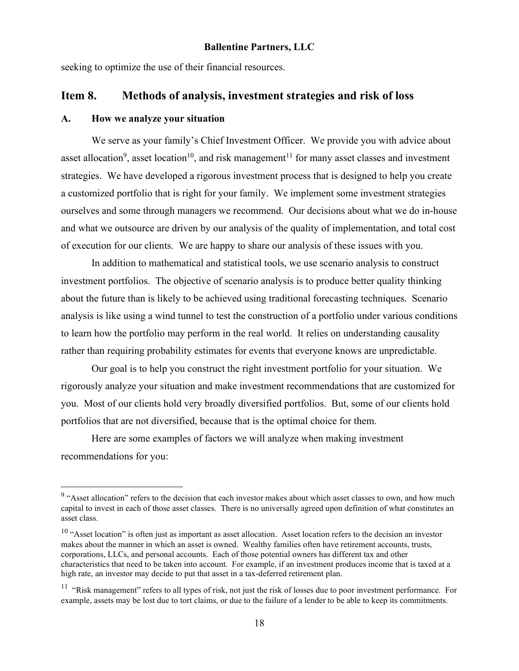seeking to optimize the use of their financial resources.

# **Item 8. Methods of analysis, investment strategies and risk of loss**

#### **A. How we analyze your situation**

We serve as your family's Chief Investment Officer. We provide you with advice about asset allocation<sup>9</sup>, asset location<sup>10</sup>, and risk management<sup>11</sup> for many asset classes and investment strategies. We have developed a rigorous investment process that is designed to help you create a customized portfolio that is right for your family. We implement some investment strategies ourselves and some through managers we recommend. Our decisions about what we do in-house and what we outsource are driven by our analysis of the quality of implementation, and total cost of execution for our clients. We are happy to share our analysis of these issues with you.

In addition to mathematical and statistical tools, we use scenario analysis to construct investment portfolios. The objective of scenario analysis is to produce better quality thinking about the future than is likely to be achieved using traditional forecasting techniques. Scenario analysis is like using a wind tunnel to test the construction of a portfolio under various conditions to learn how the portfolio may perform in the real world. It relies on understanding causality rather than requiring probability estimates for events that everyone knows are unpredictable.

Our goal is to help you construct the right investment portfolio for your situation. We rigorously analyze your situation and make investment recommendations that are customized for you. Most of our clients hold very broadly diversified portfolios. But, some of our clients hold portfolios that are not diversified, because that is the optimal choice for them.

Here are some examples of factors we will analyze when making investment recommendations for you:

<sup>&</sup>lt;sup>9</sup> "Asset allocation" refers to the decision that each investor makes about which asset classes to own, and how much capital to invest in each of those asset classes. There is no universally agreed upon definition of what constitutes an asset class.

 $10$  "Asset location" is often just as important as asset allocation. Asset location refers to the decision an investor makes about the manner in which an asset is owned. Wealthy families often have retirement accounts, trusts, corporations, LLCs, and personal accounts. Each of those potential owners has different tax and other characteristics that need to be taken into account. For example, if an investment produces income that is taxed at a high rate, an investor may decide to put that asset in a tax-deferred retirement plan.

 $11$  "Risk management" refers to all types of risk, not just the risk of losses due to poor investment performance. For example, assets may be lost due to tort claims, or due to the failure of a lender to be able to keep its commitments.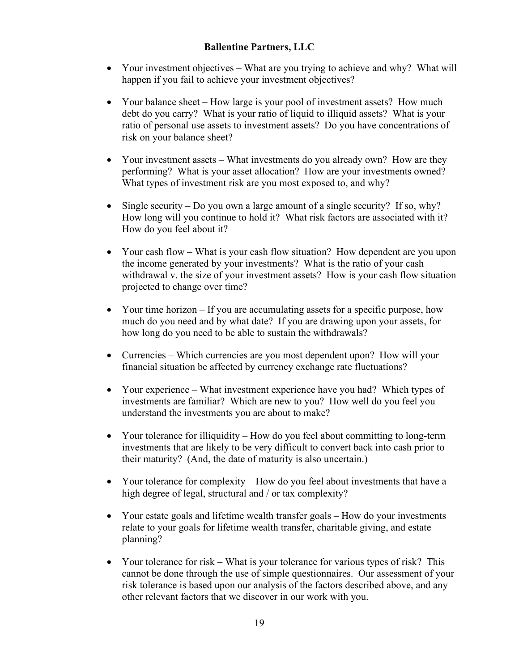- Your investment objectives What are you trying to achieve and why? What will happen if you fail to achieve your investment objectives?
- Your balance sheet How large is your pool of investment assets? How much debt do you carry? What is your ratio of liquid to illiquid assets? What is your ratio of personal use assets to investment assets? Do you have concentrations of risk on your balance sheet?
- Your investment assets What investments do you already own? How are they performing? What is your asset allocation? How are your investments owned? What types of investment risk are you most exposed to, and why?
- Single security Do you own a large amount of a single security? If so, why? How long will you continue to hold it? What risk factors are associated with it? How do you feel about it?
- Your cash flow What is your cash flow situation? How dependent are you upon the income generated by your investments? What is the ratio of your cash withdrawal v. the size of your investment assets? How is your cash flow situation projected to change over time?
- Your time horizon If you are accumulating assets for a specific purpose, how much do you need and by what date? If you are drawing upon your assets, for how long do you need to be able to sustain the withdrawals?
- Currencies Which currencies are you most dependent upon? How will your financial situation be affected by currency exchange rate fluctuations?
- Your experience What investment experience have you had? Which types of investments are familiar? Which are new to you? How well do you feel you understand the investments you are about to make?
- Your tolerance for illiquidity How do you feel about committing to long-term investments that are likely to be very difficult to convert back into cash prior to their maturity? (And, the date of maturity is also uncertain.)
- Your tolerance for complexity How do you feel about investments that have a high degree of legal, structural and / or tax complexity?
- Your estate goals and lifetime wealth transfer goals How do your investments relate to your goals for lifetime wealth transfer, charitable giving, and estate planning?
- Your tolerance for risk What is your tolerance for various types of risk? This cannot be done through the use of simple questionnaires. Our assessment of your risk tolerance is based upon our analysis of the factors described above, and any other relevant factors that we discover in our work with you.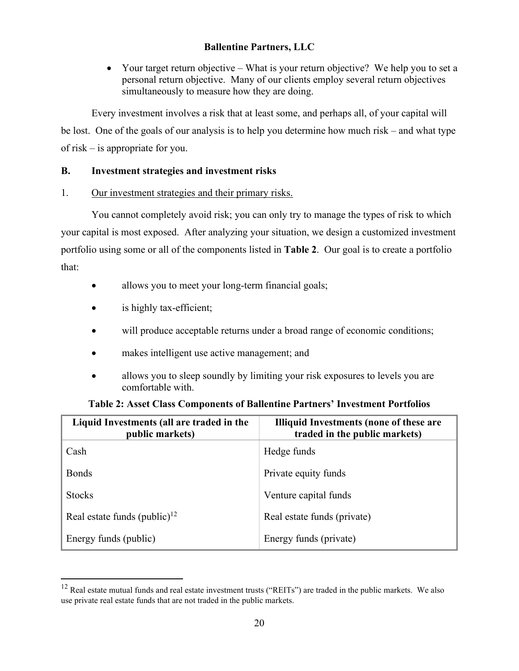• Your target return objective – What is your return objective? We help you to set a personal return objective. Many of our clients employ several return objectives simultaneously to measure how they are doing.

Every investment involves a risk that at least some, and perhaps all, of your capital will be lost. One of the goals of our analysis is to help you determine how much risk – and what type of risk – is appropriate for you.

## **B. Investment strategies and investment risks**

## 1. Our investment strategies and their primary risks.

You cannot completely avoid risk; you can only try to manage the types of risk to which your capital is most exposed. After analyzing your situation, we design a customized investment portfolio using some or all of the components listed in **Table 2**. Our goal is to create a portfolio that:

- allows you to meet your long-term financial goals;
- is highly tax-efficient;
- will produce acceptable returns under a broad range of economic conditions;
- makes intelligent use active management; and
- allows you to sleep soundly by limiting your risk exposures to levels you are comfortable with.

| Liquid Investments (all are traded in the<br>public markets) | Illiquid Investments (none of these are<br>traded in the public markets) |
|--------------------------------------------------------------|--------------------------------------------------------------------------|
| Cash                                                         | Hedge funds                                                              |
| <b>Bonds</b>                                                 | Private equity funds                                                     |
| <b>Stocks</b>                                                | Venture capital funds                                                    |
| Real estate funds (public) <sup>12</sup>                     | Real estate funds (private)                                              |
| Energy funds (public)                                        | Energy funds (private)                                                   |

# **Table 2: Asset Class Components of Ballentine Partners' Investment Portfolios**

 $12$  Real estate mutual funds and real estate investment trusts ("REITs") are traded in the public markets. We also use private real estate funds that are not traded in the public markets.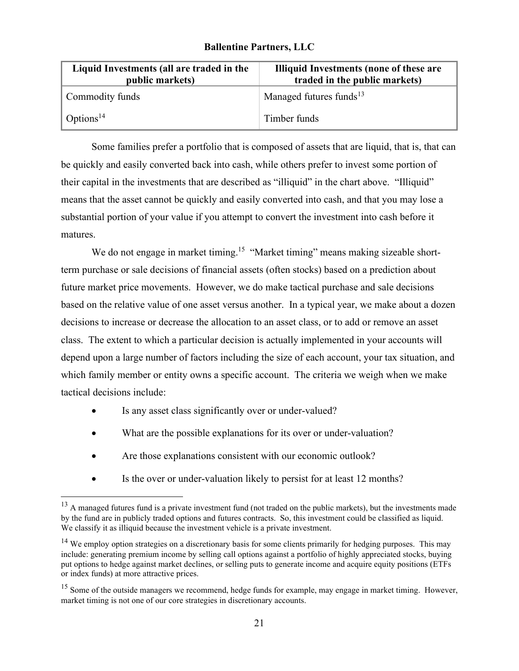| Liquid Investments (all are traded in the<br>public markets) | Illiquid Investments (none of these are<br>traded in the public markets) |
|--------------------------------------------------------------|--------------------------------------------------------------------------|
| Commodity funds                                              | Managed futures funds <sup>13</sup>                                      |
|                                                              | Timber funds                                                             |

Some families prefer a portfolio that is composed of assets that are liquid, that is, that can be quickly and easily converted back into cash, while others prefer to invest some portion of their capital in the investments that are described as "illiquid" in the chart above. "Illiquid" means that the asset cannot be quickly and easily converted into cash, and that you may lose a substantial portion of your value if you attempt to convert the investment into cash before it matures.

We do not engage in market timing.<sup>15</sup> "Market timing" means making sizeable shortterm purchase or sale decisions of financial assets (often stocks) based on a prediction about future market price movements. However, we do make tactical purchase and sale decisions based on the relative value of one asset versus another. In a typical year, we make about a dozen decisions to increase or decrease the allocation to an asset class, or to add or remove an asset class. The extent to which a particular decision is actually implemented in your accounts will depend upon a large number of factors including the size of each account, your tax situation, and which family member or entity owns a specific account. The criteria we weigh when we make tactical decisions include:

- Is any asset class significantly over or under-valued?
- What are the possible explanations for its over or under-valuation?
- Are those explanations consistent with our economic outlook?
- Is the over or under-valuation likely to persist for at least 12 months?

<sup>&</sup>lt;sup>13</sup> A managed futures fund is a private investment fund (not traded on the public markets), but the investments made by the fund are in publicly traded options and futures contracts. So, this investment could be classified as liquid. We classify it as illiquid because the investment vehicle is a private investment.

<sup>&</sup>lt;sup>14</sup> We employ option strategies on a discretionary basis for some clients primarily for hedging purposes. This may include: generating premium income by selling call options against a portfolio of highly appreciated stocks, buying put options to hedge against market declines, or selling puts to generate income and acquire equity positions (ETFs or index funds) at more attractive prices.

<sup>&</sup>lt;sup>15</sup> Some of the outside managers we recommend, hedge funds for example, may engage in market timing. However, market timing is not one of our core strategies in discretionary accounts.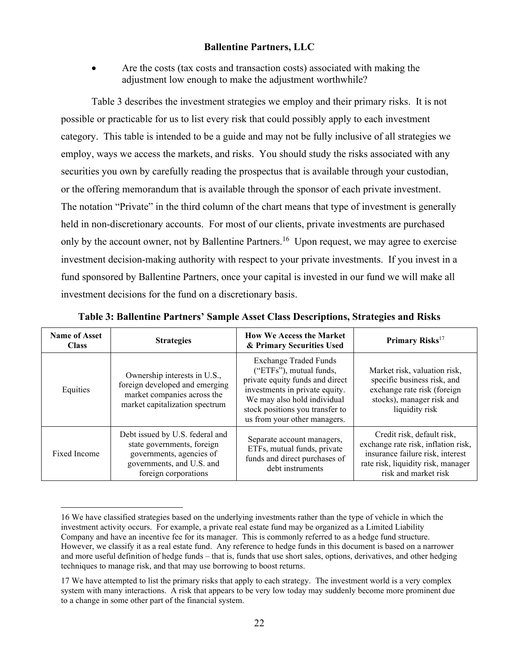Are the costs (tax costs and transaction costs) associated with making the adjustment low enough to make the adjustment worthwhile?

Table 3 describes the investment strategies we employ and their primary risks. It is not possible or practicable for us to list every risk that could possibly apply to each investment category. This table is intended to be a guide and may not be fully inclusive of all strategies we employ, ways we access the markets, and risks. You should study the risks associated with any securities you own by carefully reading the prospectus that is available through your custodian, or the offering memorandum that is available through the sponsor of each private investment. The notation "Private" in the third column of the chart means that type of investment is generally held in non-discretionary accounts. For most of our clients, private investments are purchased only by the account owner, not by Ballentine Partners.<sup>16</sup> Upon request, we may agree to exercise investment decision-making authority with respect to your private investments. If you invest in a fund sponsored by Ballentine Partners, once your capital is invested in our fund we will make all investment decisions for the fund on a discretionary basis.

| <b>Name of Asset</b><br><b>Class</b> | <b>Strategies</b>                                                                                                                              | <b>How We Access the Market</b><br>& Primary Securities Used                                                                                                                                                                   | Primary Risks <sup>17</sup>                                                                                                                                         |
|--------------------------------------|------------------------------------------------------------------------------------------------------------------------------------------------|--------------------------------------------------------------------------------------------------------------------------------------------------------------------------------------------------------------------------------|---------------------------------------------------------------------------------------------------------------------------------------------------------------------|
| Equities                             | Ownership interests in U.S.,<br>foreign developed and emerging<br>market companies across the<br>market capitalization spectrum                | <b>Exchange Traded Funds</b><br>("ETFs"), mutual funds,<br>private equity funds and direct<br>investments in private equity.<br>We may also hold individual<br>stock positions you transfer to<br>us from your other managers. | Market risk, valuation risk,<br>specific business risk, and<br>exchange rate risk (foreign<br>stocks), manager risk and<br>liquidity risk                           |
| Fixed Income                         | Debt issued by U.S. federal and<br>state governments, foreign<br>governments, agencies of<br>governments, and U.S. and<br>foreign corporations | Separate account managers,<br>ETFs, mutual funds, private<br>funds and direct purchases of<br>debt instruments                                                                                                                 | Credit risk, default risk,<br>exchange rate risk, inflation risk,<br>insurance failure risk, interest<br>rate risk, liquidity risk, manager<br>risk and market risk |

**Table 3: Ballentine Partners' Sample Asset Class Descriptions, Strategies and Risks** 

<sup>16</sup> We have classified strategies based on the underlying investments rather than the type of vehicle in which the investment activity occurs. For example, a private real estate fund may be organized as a Limited Liability Company and have an incentive fee for its manager. This is commonly referred to as a hedge fund structure. However, we classify it as a real estate fund. Any reference to hedge funds in this document is based on a narrower and more useful definition of hedge funds – that is, funds that use short sales, options, derivatives, and other hedging techniques to manage risk, and that may use borrowing to boost returns.

<sup>17</sup> We have attempted to list the primary risks that apply to each strategy. The investment world is a very complex system with many interactions. A risk that appears to be very low today may suddenly become more prominent due to a change in some other part of the financial system.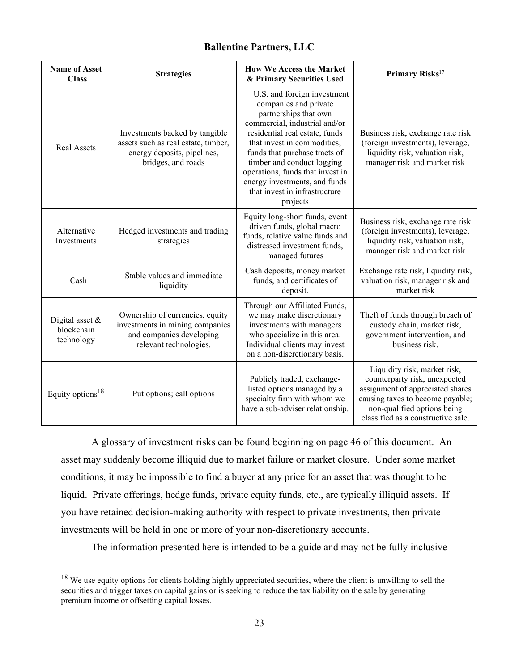| <b>Name of Asset</b><br><b>Class</b>        | <b>Strategies</b>                                                                                                          | <b>How We Access the Market</b><br>& Primary Securities Used                                                                                                                                                                                                                                                                                                     | Primary Risks <sup>17</sup>                                                                                                                                                                                |
|---------------------------------------------|----------------------------------------------------------------------------------------------------------------------------|------------------------------------------------------------------------------------------------------------------------------------------------------------------------------------------------------------------------------------------------------------------------------------------------------------------------------------------------------------------|------------------------------------------------------------------------------------------------------------------------------------------------------------------------------------------------------------|
| <b>Real Assets</b>                          | Investments backed by tangible<br>assets such as real estate, timber,<br>energy deposits, pipelines,<br>bridges, and roads | U.S. and foreign investment<br>companies and private<br>partnerships that own<br>commercial, industrial and/or<br>residential real estate, funds<br>that invest in commodities,<br>funds that purchase tracts of<br>timber and conduct logging<br>operations, funds that invest in<br>energy investments, and funds<br>that invest in infrastructure<br>projects | Business risk, exchange rate risk<br>(foreign investments), leverage,<br>liquidity risk, valuation risk,<br>manager risk and market risk                                                                   |
| Alternative<br>Investments                  | Hedged investments and trading<br>strategies                                                                               | Equity long-short funds, event<br>driven funds, global macro<br>funds, relative value funds and<br>distressed investment funds,<br>managed futures                                                                                                                                                                                                               | Business risk, exchange rate risk<br>(foreign investments), leverage,<br>liquidity risk, valuation risk,<br>manager risk and market risk                                                                   |
| Cash                                        | Stable values and immediate<br>liquidity                                                                                   | Cash deposits, money market<br>funds, and certificates of<br>deposit.                                                                                                                                                                                                                                                                                            | Exchange rate risk, liquidity risk,<br>valuation risk, manager risk and<br>market risk                                                                                                                     |
| Digital asset &<br>blockchain<br>technology | Ownership of currencies, equity<br>investments in mining companies<br>and companies developing<br>relevant technologies.   | Through our Affiliated Funds,<br>we may make discretionary<br>investments with managers<br>who specialize in this area.<br>Individual clients may invest<br>on a non-discretionary basis.                                                                                                                                                                        | Theft of funds through breach of<br>custody chain, market risk,<br>government intervention, and<br>business risk.                                                                                          |
| Equity options <sup>18</sup>                | Put options; call options                                                                                                  | Publicly traded, exchange-<br>listed options managed by a<br>specialty firm with whom we<br>have a sub-adviser relationship.                                                                                                                                                                                                                                     | Liquidity risk, market risk,<br>counterparty risk, unexpected<br>assignment of appreciated shares<br>causing taxes to become payable;<br>non-qualified options being<br>classified as a constructive sale. |

A glossary of investment risks can be found beginning on page 46 of this document. An asset may suddenly become illiquid due to market failure or market closure. Under some market conditions, it may be impossible to find a buyer at any price for an asset that was thought to be liquid. Private offerings, hedge funds, private equity funds, etc., are typically illiquid assets. If you have retained decision-making authority with respect to private investments, then private investments will be held in one or more of your non-discretionary accounts.

The information presented here is intended to be a guide and may not be fully inclusive

<sup>&</sup>lt;sup>18</sup> We use equity options for clients holding highly appreciated securities, where the client is unwilling to sell the securities and trigger taxes on capital gains or is seeking to reduce the tax liability on the sale by generating premium income or offsetting capital losses.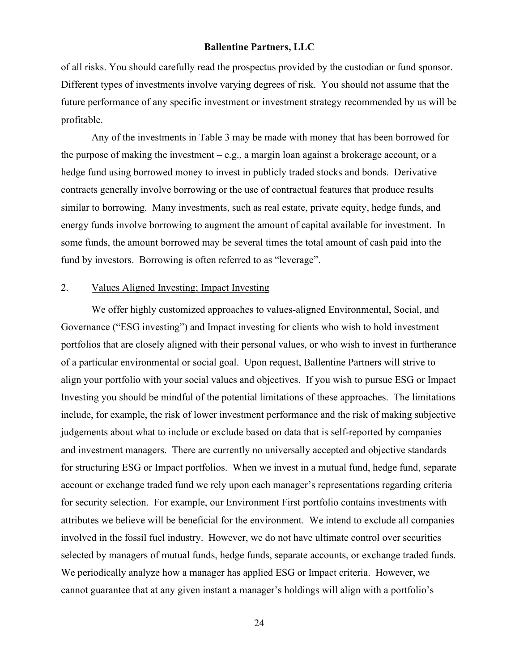of all risks. You should carefully read the prospectus provided by the custodian or fund sponsor. Different types of investments involve varying degrees of risk. You should not assume that the future performance of any specific investment or investment strategy recommended by us will be profitable.

Any of the investments in Table 3 may be made with money that has been borrowed for the purpose of making the investment  $-e.g.,$  a margin loan against a brokerage account, or a hedge fund using borrowed money to invest in publicly traded stocks and bonds. Derivative contracts generally involve borrowing or the use of contractual features that produce results similar to borrowing. Many investments, such as real estate, private equity, hedge funds, and energy funds involve borrowing to augment the amount of capital available for investment. In some funds, the amount borrowed may be several times the total amount of cash paid into the fund by investors. Borrowing is often referred to as "leverage".

#### 2. Values Aligned Investing; Impact Investing

We offer highly customized approaches to values-aligned Environmental, Social, and Governance ("ESG investing") and Impact investing for clients who wish to hold investment portfolios that are closely aligned with their personal values, or who wish to invest in furtherance of a particular environmental or social goal. Upon request, Ballentine Partners will strive to align your portfolio with your social values and objectives. If you wish to pursue ESG or Impact Investing you should be mindful of the potential limitations of these approaches. The limitations include, for example, the risk of lower investment performance and the risk of making subjective judgements about what to include or exclude based on data that is self-reported by companies and investment managers. There are currently no universally accepted and objective standards for structuring ESG or Impact portfolios. When we invest in a mutual fund, hedge fund, separate account or exchange traded fund we rely upon each manager's representations regarding criteria for security selection. For example, our Environment First portfolio contains investments with attributes we believe will be beneficial for the environment. We intend to exclude all companies involved in the fossil fuel industry. However, we do not have ultimate control over securities selected by managers of mutual funds, hedge funds, separate accounts, or exchange traded funds. We periodically analyze how a manager has applied ESG or Impact criteria. However, we cannot guarantee that at any given instant a manager's holdings will align with a portfolio's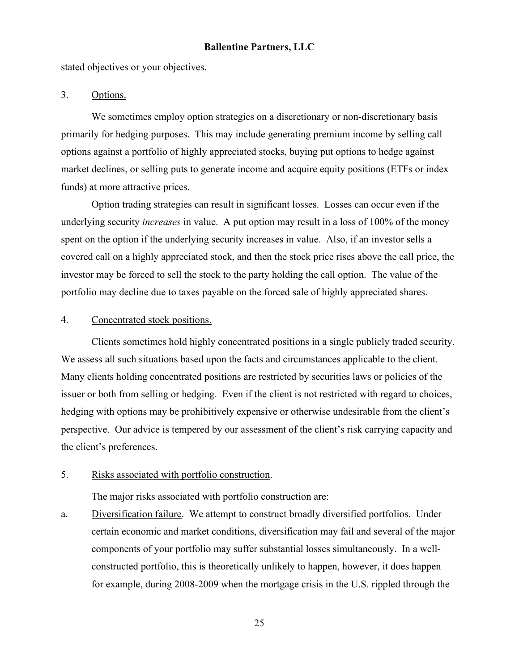stated objectives or your objectives.

## 3. Options.

We sometimes employ option strategies on a discretionary or non-discretionary basis primarily for hedging purposes. This may include generating premium income by selling call options against a portfolio of highly appreciated stocks, buying put options to hedge against market declines, or selling puts to generate income and acquire equity positions (ETFs or index funds) at more attractive prices.

Option trading strategies can result in significant losses. Losses can occur even if the underlying security *increases* in value. A put option may result in a loss of 100% of the money spent on the option if the underlying security increases in value. Also, if an investor sells a covered call on a highly appreciated stock, and then the stock price rises above the call price, the investor may be forced to sell the stock to the party holding the call option. The value of the portfolio may decline due to taxes payable on the forced sale of highly appreciated shares.

## 4. Concentrated stock positions.

Clients sometimes hold highly concentrated positions in a single publicly traded security. We assess all such situations based upon the facts and circumstances applicable to the client. Many clients holding concentrated positions are restricted by securities laws or policies of the issuer or both from selling or hedging. Even if the client is not restricted with regard to choices, hedging with options may be prohibitively expensive or otherwise undesirable from the client's perspective. Our advice is tempered by our assessment of the client's risk carrying capacity and the client's preferences.

### 5. Risks associated with portfolio construction.

The major risks associated with portfolio construction are:

a. Diversification failure. We attempt to construct broadly diversified portfolios. Under certain economic and market conditions, diversification may fail and several of the major components of your portfolio may suffer substantial losses simultaneously. In a wellconstructed portfolio, this is theoretically unlikely to happen, however, it does happen – for example, during 2008-2009 when the mortgage crisis in the U.S. rippled through the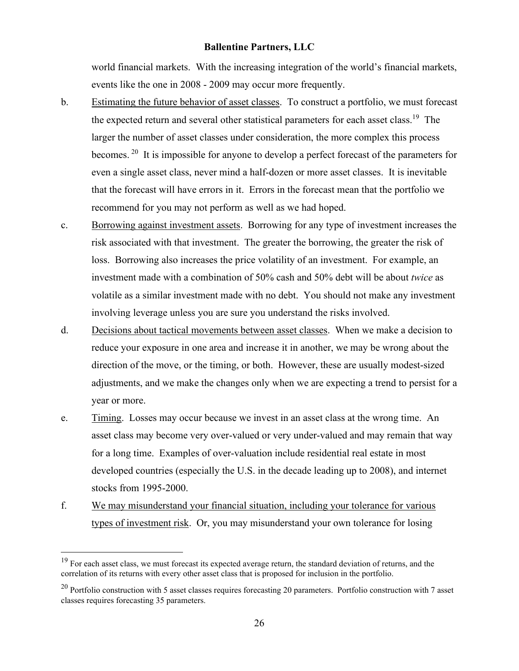world financial markets. With the increasing integration of the world's financial markets, events like the one in 2008 - 2009 may occur more frequently.

- b. Estimating the future behavior of asset classes. To construct a portfolio, we must forecast the expected return and several other statistical parameters for each asset class.<sup>19</sup> The larger the number of asset classes under consideration, the more complex this process becomes.<sup>20</sup> It is impossible for anyone to develop a perfect forecast of the parameters for even a single asset class, never mind a half-dozen or more asset classes. It is inevitable that the forecast will have errors in it. Errors in the forecast mean that the portfolio we recommend for you may not perform as well as we had hoped.
- c. Borrowing against investment assets. Borrowing for any type of investment increases the risk associated with that investment. The greater the borrowing, the greater the risk of loss. Borrowing also increases the price volatility of an investment. For example, an investment made with a combination of 50% cash and 50% debt will be about *twice* as volatile as a similar investment made with no debt. You should not make any investment involving leverage unless you are sure you understand the risks involved.
- d. Decisions about tactical movements between asset classes. When we make a decision to reduce your exposure in one area and increase it in another, we may be wrong about the direction of the move, or the timing, or both. However, these are usually modest-sized adjustments, and we make the changes only when we are expecting a trend to persist for a year or more.
- e. Timing. Losses may occur because we invest in an asset class at the wrong time. An asset class may become very over-valued or very under-valued and may remain that way for a long time. Examples of over-valuation include residential real estate in most developed countries (especially the U.S. in the decade leading up to 2008), and internet stocks from 1995-2000.
- f. We may misunderstand your financial situation, including your tolerance for various types of investment risk. Or, you may misunderstand your own tolerance for losing

 $19$  For each asset class, we must forecast its expected average return, the standard deviation of returns, and the correlation of its returns with every other asset class that is proposed for inclusion in the portfolio.

<sup>&</sup>lt;sup>20</sup> Portfolio construction with 5 asset classes requires forecasting 20 parameters. Portfolio construction with 7 asset classes requires forecasting 35 parameters.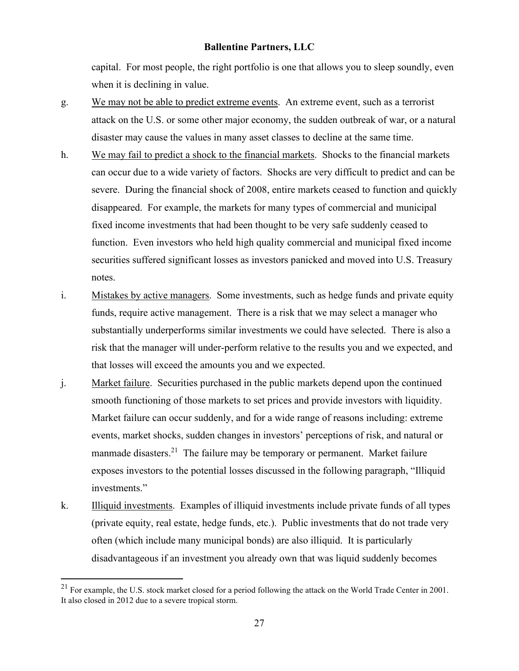capital. For most people, the right portfolio is one that allows you to sleep soundly, even when it is declining in value.

- g. We may not be able to predict extreme events. An extreme event, such as a terrorist attack on the U.S. or some other major economy, the sudden outbreak of war, or a natural disaster may cause the values in many asset classes to decline at the same time.
- h. We may fail to predict a shock to the financial markets. Shocks to the financial markets can occur due to a wide variety of factors. Shocks are very difficult to predict and can be severe. During the financial shock of 2008, entire markets ceased to function and quickly disappeared. For example, the markets for many types of commercial and municipal fixed income investments that had been thought to be very safe suddenly ceased to function. Even investors who held high quality commercial and municipal fixed income securities suffered significant losses as investors panicked and moved into U.S. Treasury notes.
- i. Mistakes by active managers. Some investments, such as hedge funds and private equity funds, require active management. There is a risk that we may select a manager who substantially underperforms similar investments we could have selected. There is also a risk that the manager will under-perform relative to the results you and we expected, and that losses will exceed the amounts you and we expected.
- j. Market failure. Securities purchased in the public markets depend upon the continued smooth functioning of those markets to set prices and provide investors with liquidity. Market failure can occur suddenly, and for a wide range of reasons including: extreme events, market shocks, sudden changes in investors' perceptions of risk, and natural or manmade disasters.<sup>21</sup> The failure may be temporary or permanent. Market failure exposes investors to the potential losses discussed in the following paragraph, "Illiquid investments."
- k. Illiquid investments. Examples of illiquid investments include private funds of all types (private equity, real estate, hedge funds, etc.). Public investments that do not trade very often (which include many municipal bonds) are also illiquid. It is particularly disadvantageous if an investment you already own that was liquid suddenly becomes

 $^{21}$  For example, the U.S. stock market closed for a period following the attack on the World Trade Center in 2001. It also closed in 2012 due to a severe tropical storm.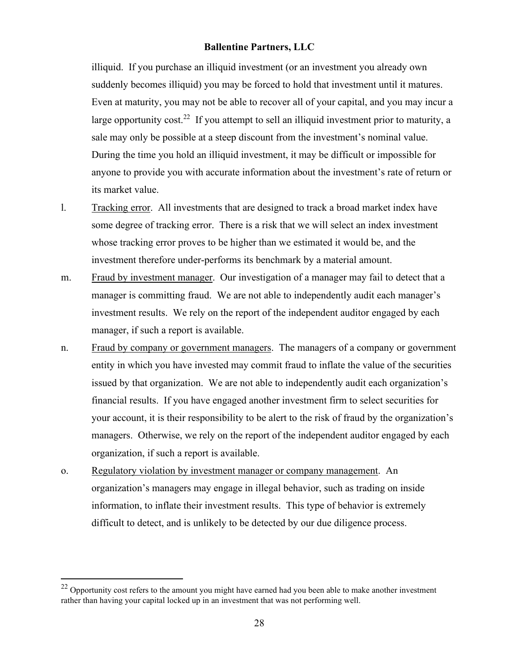illiquid. If you purchase an illiquid investment (or an investment you already own suddenly becomes illiquid) you may be forced to hold that investment until it matures. Even at maturity, you may not be able to recover all of your capital, and you may incur a large opportunity cost.<sup>22</sup> If you attempt to sell an illiquid investment prior to maturity, a sale may only be possible at a steep discount from the investment's nominal value. During the time you hold an illiquid investment, it may be difficult or impossible for anyone to provide you with accurate information about the investment's rate of return or its market value.

- l. Tracking error. All investments that are designed to track a broad market index have some degree of tracking error. There is a risk that we will select an index investment whose tracking error proves to be higher than we estimated it would be, and the investment therefore under-performs its benchmark by a material amount.
- m. Fraud by investment manager. Our investigation of a manager may fail to detect that a manager is committing fraud. We are not able to independently audit each manager's investment results. We rely on the report of the independent auditor engaged by each manager, if such a report is available.
- n. Fraud by company or government managers. The managers of a company or government entity in which you have invested may commit fraud to inflate the value of the securities issued by that organization. We are not able to independently audit each organization's financial results. If you have engaged another investment firm to select securities for your account, it is their responsibility to be alert to the risk of fraud by the organization's managers. Otherwise, we rely on the report of the independent auditor engaged by each organization, if such a report is available.
- o. Regulatory violation by investment manager or company management. An organization's managers may engage in illegal behavior, such as trading on inside information, to inflate their investment results. This type of behavior is extremely difficult to detect, and is unlikely to be detected by our due diligence process.

 $^{22}$  Opportunity cost refers to the amount you might have earned had you been able to make another investment rather than having your capital locked up in an investment that was not performing well.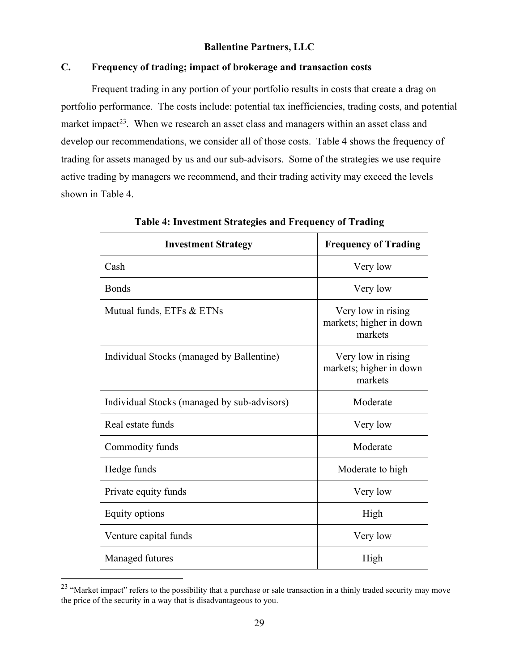## **C. Frequency of trading; impact of brokerage and transaction costs**

Frequent trading in any portion of your portfolio results in costs that create a drag on portfolio performance. The costs include: potential tax inefficiencies, trading costs, and potential market impact<sup>23</sup>. When we research an asset class and managers within an asset class and develop our recommendations, we consider all of those costs. Table 4 shows the frequency of trading for assets managed by us and our sub-advisors. Some of the strategies we use require active trading by managers we recommend, and their trading activity may exceed the levels shown in Table 4.

| <b>Investment Strategy</b>                  | <b>Frequency of Trading</b>                              |
|---------------------------------------------|----------------------------------------------------------|
| Cash                                        | Very low                                                 |
| <b>Bonds</b>                                | Very low                                                 |
| Mutual funds, ETFs & ETNs                   | Very low in rising<br>markets; higher in down<br>markets |
| Individual Stocks (managed by Ballentine)   | Very low in rising<br>markets; higher in down<br>markets |
| Individual Stocks (managed by sub-advisors) | Moderate                                                 |
| Real estate funds                           | Very low                                                 |
| Commodity funds                             | Moderate                                                 |
| Hedge funds                                 | Moderate to high                                         |
| Private equity funds                        | Very low                                                 |
| Equity options                              | High                                                     |
| Venture capital funds                       | Very low                                                 |
| Managed futures                             | High                                                     |

|  |  |  |  |  |  | Table 4: Investment Strategies and Frequency of Trading |  |
|--|--|--|--|--|--|---------------------------------------------------------|--|
|  |  |  |  |  |  |                                                         |  |

<sup>&</sup>lt;sup>23</sup> "Market impact" refers to the possibility that a purchase or sale transaction in a thinly traded security may move the price of the security in a way that is disadvantageous to you.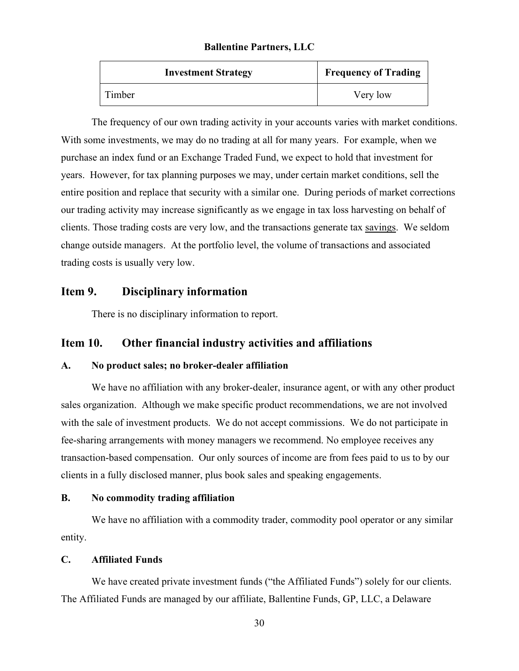| <b>Investment Strategy</b> | <b>Frequency of Trading</b> |
|----------------------------|-----------------------------|
| Timber                     | Very low                    |

The frequency of our own trading activity in your accounts varies with market conditions. With some investments, we may do no trading at all for many years. For example, when we purchase an index fund or an Exchange Traded Fund, we expect to hold that investment for years. However, for tax planning purposes we may, under certain market conditions, sell the entire position and replace that security with a similar one. During periods of market corrections our trading activity may increase significantly as we engage in tax loss harvesting on behalf of clients. Those trading costs are very low, and the transactions generate tax savings. We seldom change outside managers. At the portfolio level, the volume of transactions and associated trading costs is usually very low.

# **Item 9. Disciplinary information**

There is no disciplinary information to report.

# **Item 10. Other financial industry activities and affiliations**

## **A. No product sales; no broker-dealer affiliation**

We have no affiliation with any broker-dealer, insurance agent, or with any other product sales organization. Although we make specific product recommendations, we are not involved with the sale of investment products. We do not accept commissions. We do not participate in fee-sharing arrangements with money managers we recommend. No employee receives any transaction-based compensation. Our only sources of income are from fees paid to us to by our clients in a fully disclosed manner, plus book sales and speaking engagements.

## **B. No commodity trading affiliation**

We have no affiliation with a commodity trader, commodity pool operator or any similar entity.

## **C. Affiliated Funds**

We have created private investment funds ("the Affiliated Funds") solely for our clients. The Affiliated Funds are managed by our affiliate, Ballentine Funds, GP, LLC, a Delaware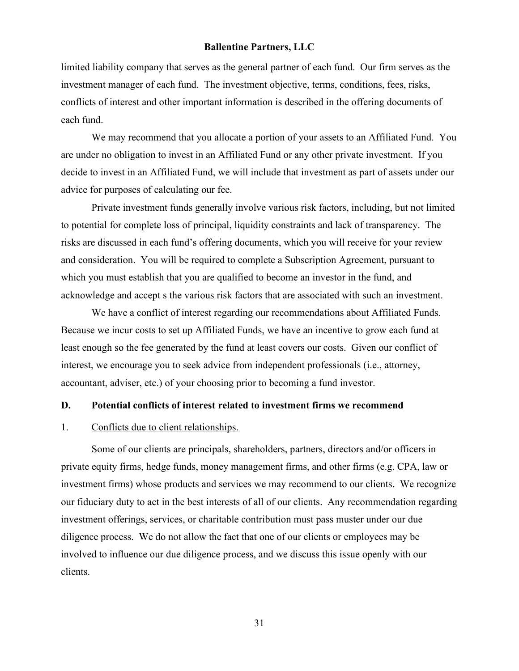limited liability company that serves as the general partner of each fund. Our firm serves as the investment manager of each fund. The investment objective, terms, conditions, fees, risks, conflicts of interest and other important information is described in the offering documents of each fund.

We may recommend that you allocate a portion of your assets to an Affiliated Fund. You are under no obligation to invest in an Affiliated Fund or any other private investment. If you decide to invest in an Affiliated Fund, we will include that investment as part of assets under our advice for purposes of calculating our fee.

Private investment funds generally involve various risk factors, including, but not limited to potential for complete loss of principal, liquidity constraints and lack of transparency. The risks are discussed in each fund's offering documents, which you will receive for your review and consideration. You will be required to complete a Subscription Agreement, pursuant to which you must establish that you are qualified to become an investor in the fund, and acknowledge and accept s the various risk factors that are associated with such an investment.

We have a conflict of interest regarding our recommendations about Affiliated Funds. Because we incur costs to set up Affiliated Funds, we have an incentive to grow each fund at least enough so the fee generated by the fund at least covers our costs. Given our conflict of interest, we encourage you to seek advice from independent professionals (i.e., attorney, accountant, adviser, etc.) of your choosing prior to becoming a fund investor.

## **D. Potential conflicts of interest related to investment firms we recommend**

#### 1. Conflicts due to client relationships.

Some of our clients are principals, shareholders, partners, directors and/or officers in private equity firms, hedge funds, money management firms, and other firms (e.g. CPA, law or investment firms) whose products and services we may recommend to our clients. We recognize our fiduciary duty to act in the best interests of all of our clients. Any recommendation regarding investment offerings, services, or charitable contribution must pass muster under our due diligence process. We do not allow the fact that one of our clients or employees may be involved to influence our due diligence process, and we discuss this issue openly with our clients.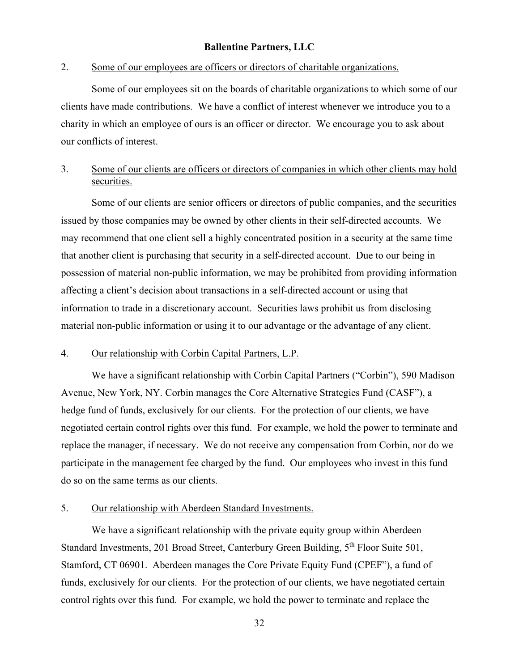## 2. Some of our employees are officers or directors of charitable organizations.

Some of our employees sit on the boards of charitable organizations to which some of our clients have made contributions. We have a conflict of interest whenever we introduce you to a charity in which an employee of ours is an officer or director. We encourage you to ask about our conflicts of interest.

## 3. Some of our clients are officers or directors of companies in which other clients may hold securities.

Some of our clients are senior officers or directors of public companies, and the securities issued by those companies may be owned by other clients in their self-directed accounts. We may recommend that one client sell a highly concentrated position in a security at the same time that another client is purchasing that security in a self-directed account. Due to our being in possession of material non-public information, we may be prohibited from providing information affecting a client's decision about transactions in a self-directed account or using that information to trade in a discretionary account. Securities laws prohibit us from disclosing material non-public information or using it to our advantage or the advantage of any client.

### 4. Our relationship with Corbin Capital Partners, L.P.

We have a significant relationship with Corbin Capital Partners ("Corbin"), 590 Madison Avenue, New York, NY. Corbin manages the Core Alternative Strategies Fund (CASF"), a hedge fund of funds, exclusively for our clients. For the protection of our clients, we have negotiated certain control rights over this fund. For example, we hold the power to terminate and replace the manager, if necessary. We do not receive any compensation from Corbin, nor do we participate in the management fee charged by the fund. Our employees who invest in this fund do so on the same terms as our clients.

## 5. Our relationship with Aberdeen Standard Investments.

We have a significant relationship with the private equity group within Aberdeen Standard Investments, 201 Broad Street, Canterbury Green Building, 5<sup>th</sup> Floor Suite 501, Stamford, CT 06901. Aberdeen manages the Core Private Equity Fund (CPEF"), a fund of funds, exclusively for our clients. For the protection of our clients, we have negotiated certain control rights over this fund. For example, we hold the power to terminate and replace the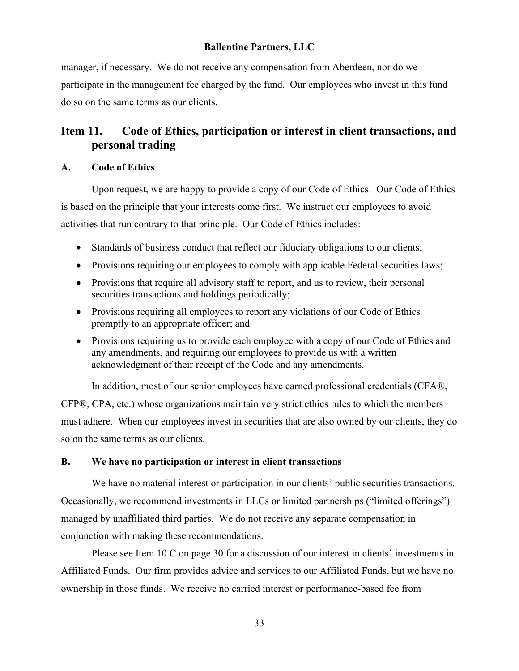manager, if necessary. We do not receive any compensation from Aberdeen, nor do we participate in the management fee charged by the fund. Our employees who invest in this fund do so on the same terms as our clients.

# **Item 11. Code of Ethics, participation or interest in client transactions, and personal trading**

## **A. Code of Ethics**

Upon request, we are happy to provide a copy of our Code of Ethics. Our Code of Ethics is based on the principle that your interests come first. We instruct our employees to avoid activities that run contrary to that principle. Our Code of Ethics includes:

- Standards of business conduct that reflect our fiduciary obligations to our clients;
- Provisions requiring our employees to comply with applicable Federal securities laws;
- Provisions that require all advisory staff to report, and us to review, their personal securities transactions and holdings periodically;
- Provisions requiring all employees to report any violations of our Code of Ethics promptly to an appropriate officer; and
- Provisions requiring us to provide each employee with a copy of our Code of Ethics and any amendments, and requiring our employees to provide us with a written acknowledgment of their receipt of the Code and any amendments.

In addition, most of our senior employees have earned professional credentials (CFA®, CFP®, CPA, etc.) whose organizations maintain very strict ethics rules to which the members must adhere. When our employees invest in securities that are also owned by our clients, they do so on the same terms as our clients.

## **B. We have no participation or interest in client transactions**

We have no material interest or participation in our clients' public securities transactions. Occasionally, we recommend investments in LLCs or limited partnerships ("limited offerings") managed by unaffiliated third parties. We do not receive any separate compensation in conjunction with making these recommendations.

Please see Item 10.C on page 30 for a discussion of our interest in clients' investments in Affiliated Funds. Our firm provides advice and services to our Affiliated Funds, but we have no ownership in those funds. We receive no carried interest or performance-based fee from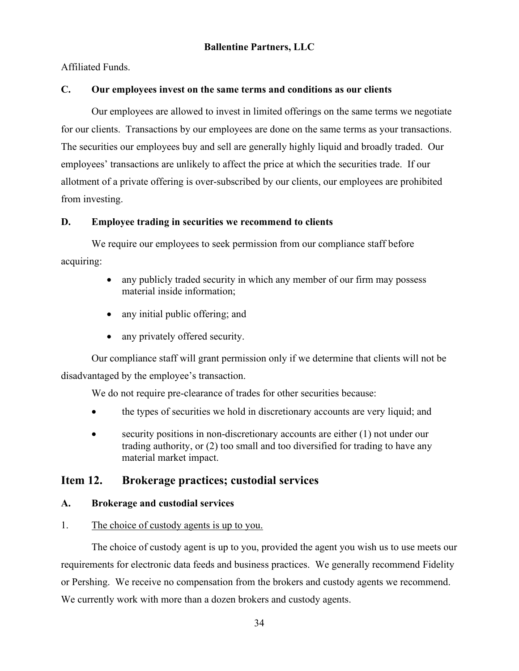Affiliated Funds.

## **C. Our employees invest on the same terms and conditions as our clients**

Our employees are allowed to invest in limited offerings on the same terms we negotiate for our clients. Transactions by our employees are done on the same terms as your transactions. The securities our employees buy and sell are generally highly liquid and broadly traded. Our employees' transactions are unlikely to affect the price at which the securities trade. If our allotment of a private offering is over-subscribed by our clients, our employees are prohibited from investing.

## **D. Employee trading in securities we recommend to clients**

We require our employees to seek permission from our compliance staff before acquiring:

- any publicly traded security in which any member of our firm may possess material inside information;
- any initial public offering; and
- any privately offered security.

Our compliance staff will grant permission only if we determine that clients will not be disadvantaged by the employee's transaction.

We do not require pre-clearance of trades for other securities because:

- the types of securities we hold in discretionary accounts are very liquid; and
- security positions in non-discretionary accounts are either (1) not under our trading authority, or (2) too small and too diversified for trading to have any material market impact.

# **Item 12. Brokerage practices; custodial services**

## **A. Brokerage and custodial services**

1. The choice of custody agents is up to you.

The choice of custody agent is up to you, provided the agent you wish us to use meets our requirements for electronic data feeds and business practices. We generally recommend Fidelity or Pershing. We receive no compensation from the brokers and custody agents we recommend. We currently work with more than a dozen brokers and custody agents.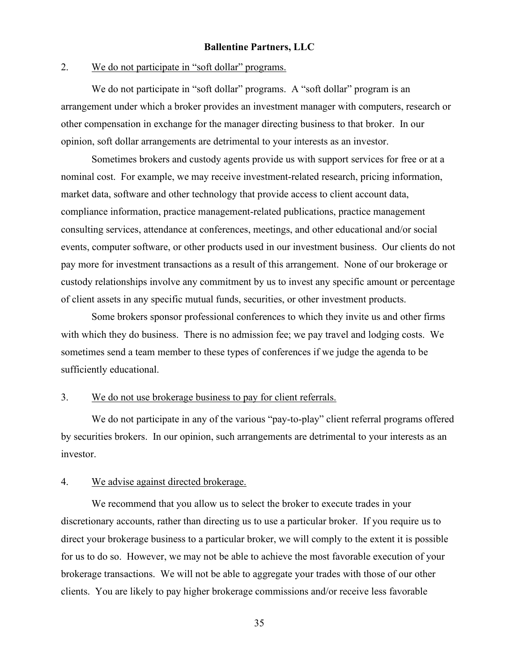2. We do not participate in "soft dollar" programs.

We do not participate in "soft dollar" programs. A "soft dollar" program is an arrangement under which a broker provides an investment manager with computers, research or other compensation in exchange for the manager directing business to that broker. In our opinion, soft dollar arrangements are detrimental to your interests as an investor.

Sometimes brokers and custody agents provide us with support services for free or at a nominal cost. For example, we may receive investment-related research, pricing information, market data, software and other technology that provide access to client account data, compliance information, practice management-related publications, practice management consulting services, attendance at conferences, meetings, and other educational and/or social events, computer software, or other products used in our investment business. Our clients do not pay more for investment transactions as a result of this arrangement. None of our brokerage or custody relationships involve any commitment by us to invest any specific amount or percentage of client assets in any specific mutual funds, securities, or other investment products.

Some brokers sponsor professional conferences to which they invite us and other firms with which they do business. There is no admission fee; we pay travel and lodging costs. We sometimes send a team member to these types of conferences if we judge the agenda to be sufficiently educational.

## 3. We do not use brokerage business to pay for client referrals.

We do not participate in any of the various "pay-to-play" client referral programs offered by securities brokers. In our opinion, such arrangements are detrimental to your interests as an investor.

## 4. We advise against directed brokerage.

We recommend that you allow us to select the broker to execute trades in your discretionary accounts, rather than directing us to use a particular broker. If you require us to direct your brokerage business to a particular broker, we will comply to the extent it is possible for us to do so. However, we may not be able to achieve the most favorable execution of your brokerage transactions. We will not be able to aggregate your trades with those of our other clients. You are likely to pay higher brokerage commissions and/or receive less favorable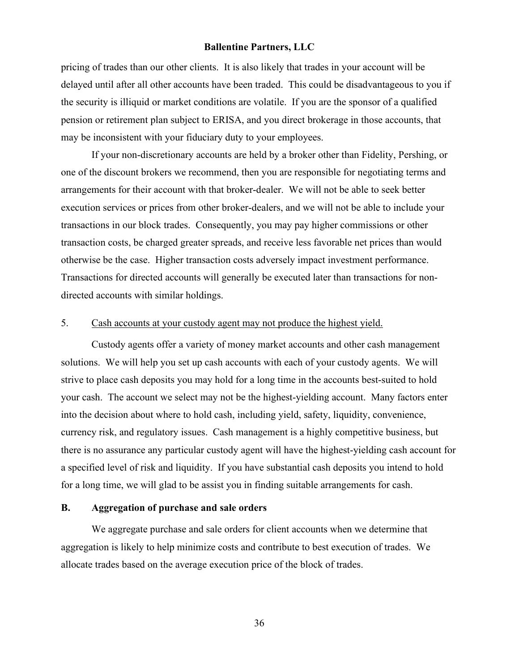pricing of trades than our other clients. It is also likely that trades in your account will be delayed until after all other accounts have been traded. This could be disadvantageous to you if the security is illiquid or market conditions are volatile. If you are the sponsor of a qualified pension or retirement plan subject to ERISA, and you direct brokerage in those accounts, that may be inconsistent with your fiduciary duty to your employees.

If your non-discretionary accounts are held by a broker other than Fidelity, Pershing, or one of the discount brokers we recommend, then you are responsible for negotiating terms and arrangements for their account with that broker-dealer. We will not be able to seek better execution services or prices from other broker-dealers, and we will not be able to include your transactions in our block trades. Consequently, you may pay higher commissions or other transaction costs, be charged greater spreads, and receive less favorable net prices than would otherwise be the case. Higher transaction costs adversely impact investment performance. Transactions for directed accounts will generally be executed later than transactions for nondirected accounts with similar holdings.

### 5. Cash accounts at your custody agent may not produce the highest yield.

Custody agents offer a variety of money market accounts and other cash management solutions. We will help you set up cash accounts with each of your custody agents. We will strive to place cash deposits you may hold for a long time in the accounts best-suited to hold your cash. The account we select may not be the highest-yielding account. Many factors enter into the decision about where to hold cash, including yield, safety, liquidity, convenience, currency risk, and regulatory issues. Cash management is a highly competitive business, but there is no assurance any particular custody agent will have the highest-yielding cash account for a specified level of risk and liquidity. If you have substantial cash deposits you intend to hold for a long time, we will glad to be assist you in finding suitable arrangements for cash.

### **B. Aggregation of purchase and sale orders**

We aggregate purchase and sale orders for client accounts when we determine that aggregation is likely to help minimize costs and contribute to best execution of trades. We allocate trades based on the average execution price of the block of trades.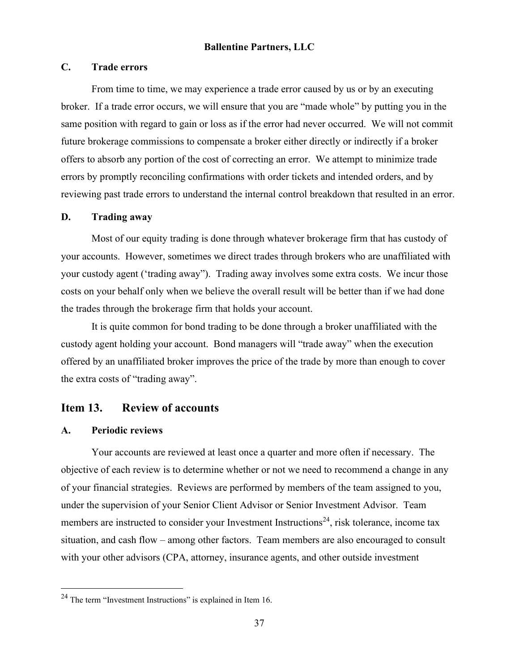## **C. Trade errors**

From time to time, we may experience a trade error caused by us or by an executing broker. If a trade error occurs, we will ensure that you are "made whole" by putting you in the same position with regard to gain or loss as if the error had never occurred. We will not commit future brokerage commissions to compensate a broker either directly or indirectly if a broker offers to absorb any portion of the cost of correcting an error. We attempt to minimize trade errors by promptly reconciling confirmations with order tickets and intended orders, and by reviewing past trade errors to understand the internal control breakdown that resulted in an error.

#### **D. Trading away**

Most of our equity trading is done through whatever brokerage firm that has custody of your accounts. However, sometimes we direct trades through brokers who are unaffiliated with your custody agent ('trading away"). Trading away involves some extra costs. We incur those costs on your behalf only when we believe the overall result will be better than if we had done the trades through the brokerage firm that holds your account.

It is quite common for bond trading to be done through a broker unaffiliated with the custody agent holding your account. Bond managers will "trade away" when the execution offered by an unaffiliated broker improves the price of the trade by more than enough to cover the extra costs of "trading away".

## **Item 13. Review of accounts**

### **A. Periodic reviews**

Your accounts are reviewed at least once a quarter and more often if necessary. The objective of each review is to determine whether or not we need to recommend a change in any of your financial strategies. Reviews are performed by members of the team assigned to you, under the supervision of your Senior Client Advisor or Senior Investment Advisor. Team members are instructed to consider your Investment Instructions<sup>24</sup>, risk tolerance, income tax situation, and cash flow – among other factors. Team members are also encouraged to consult with your other advisors (CPA, attorney, insurance agents, and other outside investment

<sup>24</sup> The term "Investment Instructions" is explained in Item 16.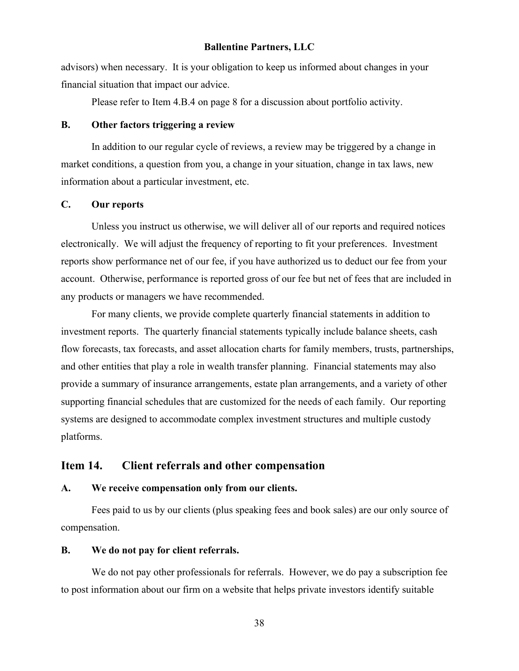advisors) when necessary. It is your obligation to keep us informed about changes in your financial situation that impact our advice.

Please refer to Item 4.B.4 on page 8 for a discussion about portfolio activity.

### **B. Other factors triggering a review**

In addition to our regular cycle of reviews, a review may be triggered by a change in market conditions, a question from you, a change in your situation, change in tax laws, new information about a particular investment, etc.

### **C. Our reports**

Unless you instruct us otherwise, we will deliver all of our reports and required notices electronically. We will adjust the frequency of reporting to fit your preferences. Investment reports show performance net of our fee, if you have authorized us to deduct our fee from your account. Otherwise, performance is reported gross of our fee but net of fees that are included in any products or managers we have recommended.

For many clients, we provide complete quarterly financial statements in addition to investment reports. The quarterly financial statements typically include balance sheets, cash flow forecasts, tax forecasts, and asset allocation charts for family members, trusts, partnerships, and other entities that play a role in wealth transfer planning. Financial statements may also provide a summary of insurance arrangements, estate plan arrangements, and a variety of other supporting financial schedules that are customized for the needs of each family. Our reporting systems are designed to accommodate complex investment structures and multiple custody platforms.

# **Item 14. Client referrals and other compensation**

#### **A. We receive compensation only from our clients.**

Fees paid to us by our clients (plus speaking fees and book sales) are our only source of compensation.

## **B. We do not pay for client referrals.**

We do not pay other professionals for referrals. However, we do pay a subscription fee to post information about our firm on a website that helps private investors identify suitable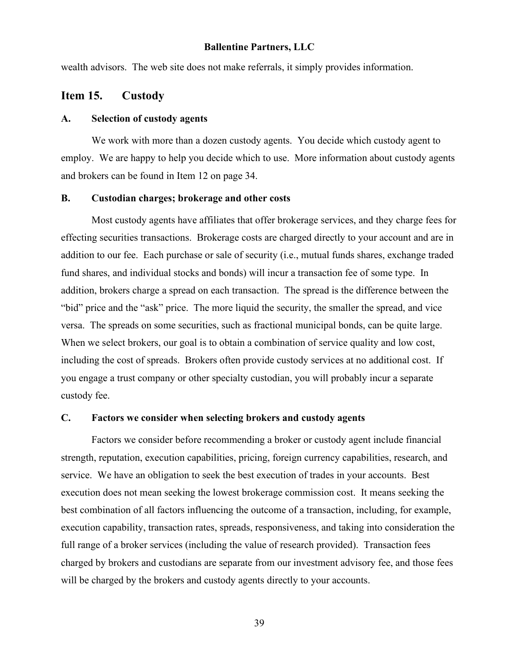wealth advisors. The web site does not make referrals, it simply provides information.

## **Item 15. Custody**

#### **A. Selection of custody agents**

We work with more than a dozen custody agents. You decide which custody agent to employ. We are happy to help you decide which to use. More information about custody agents and brokers can be found in Item 12 on page 34.

#### **B. Custodian charges; brokerage and other costs**

Most custody agents have affiliates that offer brokerage services, and they charge fees for effecting securities transactions. Brokerage costs are charged directly to your account and are in addition to our fee. Each purchase or sale of security (i.e., mutual funds shares, exchange traded fund shares, and individual stocks and bonds) will incur a transaction fee of some type. In addition, brokers charge a spread on each transaction. The spread is the difference between the "bid" price and the "ask" price. The more liquid the security, the smaller the spread, and vice versa. The spreads on some securities, such as fractional municipal bonds, can be quite large. When we select brokers, our goal is to obtain a combination of service quality and low cost, including the cost of spreads. Brokers often provide custody services at no additional cost. If you engage a trust company or other specialty custodian, you will probably incur a separate custody fee.

#### **C. Factors we consider when selecting brokers and custody agents**

Factors we consider before recommending a broker or custody agent include financial strength, reputation, execution capabilities, pricing, foreign currency capabilities, research, and service. We have an obligation to seek the best execution of trades in your accounts. Best execution does not mean seeking the lowest brokerage commission cost. It means seeking the best combination of all factors influencing the outcome of a transaction, including, for example, execution capability, transaction rates, spreads, responsiveness, and taking into consideration the full range of a broker services (including the value of research provided). Transaction fees charged by brokers and custodians are separate from our investment advisory fee, and those fees will be charged by the brokers and custody agents directly to your accounts.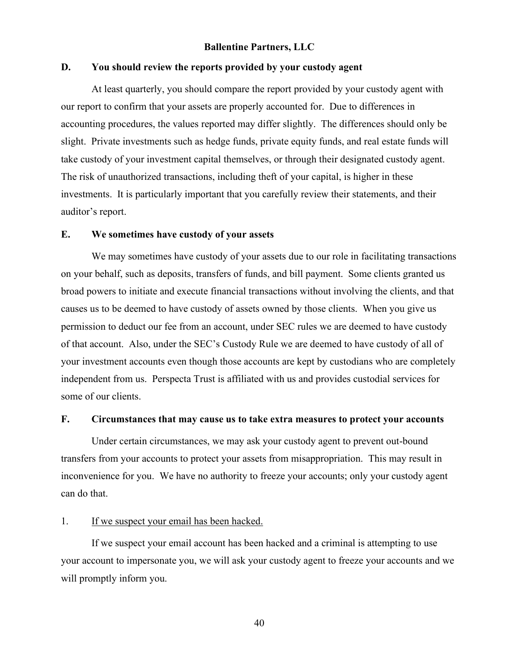#### **D. You should review the reports provided by your custody agent**

At least quarterly, you should compare the report provided by your custody agent with our report to confirm that your assets are properly accounted for. Due to differences in accounting procedures, the values reported may differ slightly. The differences should only be slight. Private investments such as hedge funds, private equity funds, and real estate funds will take custody of your investment capital themselves, or through their designated custody agent. The risk of unauthorized transactions, including theft of your capital, is higher in these investments. It is particularly important that you carefully review their statements, and their auditor's report.

#### **E. We sometimes have custody of your assets**

We may sometimes have custody of your assets due to our role in facilitating transactions on your behalf, such as deposits, transfers of funds, and bill payment. Some clients granted us broad powers to initiate and execute financial transactions without involving the clients, and that causes us to be deemed to have custody of assets owned by those clients. When you give us permission to deduct our fee from an account, under SEC rules we are deemed to have custody of that account. Also, under the SEC's Custody Rule we are deemed to have custody of all of your investment accounts even though those accounts are kept by custodians who are completely independent from us. Perspecta Trust is affiliated with us and provides custodial services for some of our clients.

## **F. Circumstances that may cause us to take extra measures to protect your accounts**

Under certain circumstances, we may ask your custody agent to prevent out-bound transfers from your accounts to protect your assets from misappropriation. This may result in inconvenience for you. We have no authority to freeze your accounts; only your custody agent can do that.

### 1. If we suspect your email has been hacked.

If we suspect your email account has been hacked and a criminal is attempting to use your account to impersonate you, we will ask your custody agent to freeze your accounts and we will promptly inform you.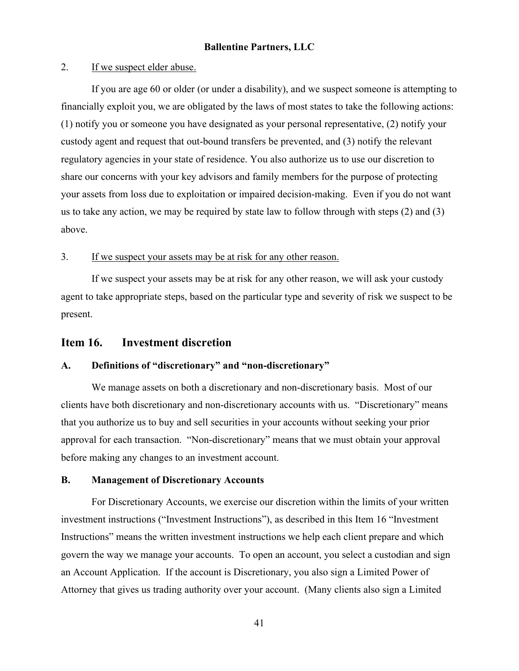2. If we suspect elder abuse.

If you are age 60 or older (or under a disability), and we suspect someone is attempting to financially exploit you, we are obligated by the laws of most states to take the following actions: (1) notify you or someone you have designated as your personal representative, (2) notify your custody agent and request that out-bound transfers be prevented, and (3) notify the relevant regulatory agencies in your state of residence. You also authorize us to use our discretion to share our concerns with your key advisors and family members for the purpose of protecting your assets from loss due to exploitation or impaired decision-making. Even if you do not want us to take any action, we may be required by state law to follow through with steps (2) and (3) above.

## 3. If we suspect your assets may be at risk for any other reason.

If we suspect your assets may be at risk for any other reason, we will ask your custody agent to take appropriate steps, based on the particular type and severity of risk we suspect to be present.

### **Item 16. Investment discretion**

### **A. Definitions of "discretionary" and "non-discretionary"**

We manage assets on both a discretionary and non-discretionary basis. Most of our clients have both discretionary and non-discretionary accounts with us. "Discretionary" means that you authorize us to buy and sell securities in your accounts without seeking your prior approval for each transaction. "Non-discretionary" means that we must obtain your approval before making any changes to an investment account.

## **B. Management of Discretionary Accounts**

For Discretionary Accounts, we exercise our discretion within the limits of your written investment instructions ("Investment Instructions"), as described in this Item 16 "Investment Instructions" means the written investment instructions we help each client prepare and which govern the way we manage your accounts. To open an account, you select a custodian and sign an Account Application. If the account is Discretionary, you also sign a Limited Power of Attorney that gives us trading authority over your account. (Many clients also sign a Limited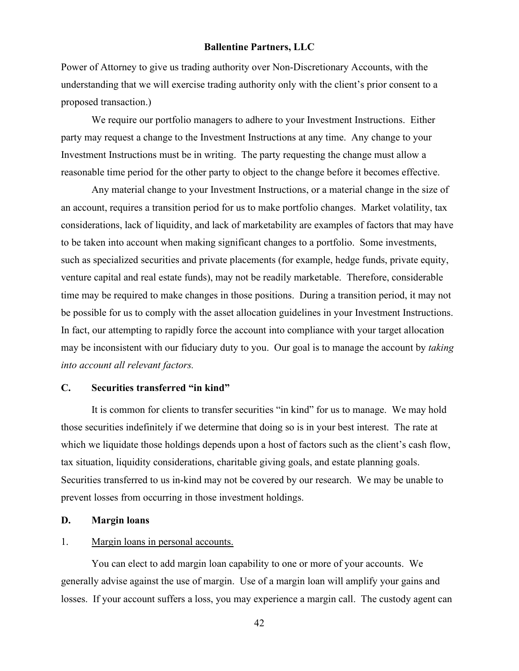Power of Attorney to give us trading authority over Non-Discretionary Accounts, with the understanding that we will exercise trading authority only with the client's prior consent to a proposed transaction.)

We require our portfolio managers to adhere to your Investment Instructions. Either party may request a change to the Investment Instructions at any time. Any change to your Investment Instructions must be in writing. The party requesting the change must allow a reasonable time period for the other party to object to the change before it becomes effective.

Any material change to your Investment Instructions, or a material change in the size of an account, requires a transition period for us to make portfolio changes. Market volatility, tax considerations, lack of liquidity, and lack of marketability are examples of factors that may have to be taken into account when making significant changes to a portfolio. Some investments, such as specialized securities and private placements (for example, hedge funds, private equity, venture capital and real estate funds), may not be readily marketable. Therefore, considerable time may be required to make changes in those positions. During a transition period, it may not be possible for us to comply with the asset allocation guidelines in your Investment Instructions. In fact, our attempting to rapidly force the account into compliance with your target allocation may be inconsistent with our fiduciary duty to you. Our goal is to manage the account by *taking into account all relevant factors.* 

### **C. Securities transferred "in kind"**

It is common for clients to transfer securities "in kind" for us to manage. We may hold those securities indefinitely if we determine that doing so is in your best interest. The rate at which we liquidate those holdings depends upon a host of factors such as the client's cash flow, tax situation, liquidity considerations, charitable giving goals, and estate planning goals. Securities transferred to us in-kind may not be covered by our research. We may be unable to prevent losses from occurring in those investment holdings.

### **D. Margin loans**

## 1. Margin loans in personal accounts.

You can elect to add margin loan capability to one or more of your accounts. We generally advise against the use of margin. Use of a margin loan will amplify your gains and losses. If your account suffers a loss, you may experience a margin call. The custody agent can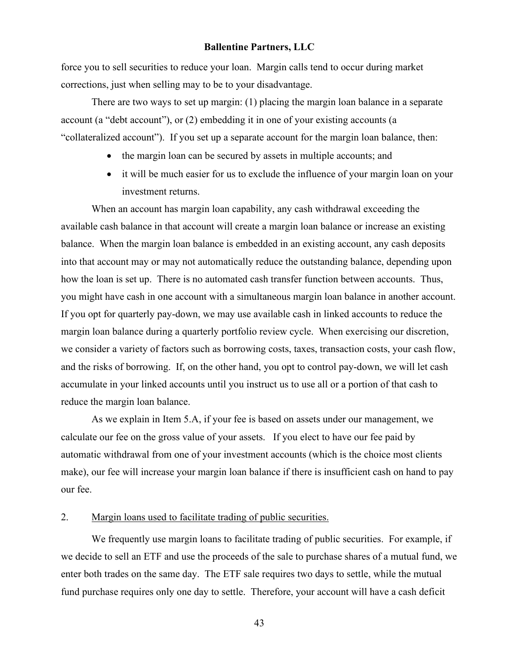force you to sell securities to reduce your loan. Margin calls tend to occur during market corrections, just when selling may to be to your disadvantage.

There are two ways to set up margin: (1) placing the margin loan balance in a separate account (a "debt account"), or (2) embedding it in one of your existing accounts (a "collateralized account"). If you set up a separate account for the margin loan balance, then:

- the margin loan can be secured by assets in multiple accounts; and
- it will be much easier for us to exclude the influence of your margin loan on your investment returns.

When an account has margin loan capability, any cash withdrawal exceeding the available cash balance in that account will create a margin loan balance or increase an existing balance. When the margin loan balance is embedded in an existing account, any cash deposits into that account may or may not automatically reduce the outstanding balance, depending upon how the loan is set up. There is no automated cash transfer function between accounts. Thus, you might have cash in one account with a simultaneous margin loan balance in another account. If you opt for quarterly pay-down, we may use available cash in linked accounts to reduce the margin loan balance during a quarterly portfolio review cycle. When exercising our discretion, we consider a variety of factors such as borrowing costs, taxes, transaction costs, your cash flow, and the risks of borrowing. If, on the other hand, you opt to control pay-down, we will let cash accumulate in your linked accounts until you instruct us to use all or a portion of that cash to reduce the margin loan balance.

As we explain in Item 5.A, if your fee is based on assets under our management, we calculate our fee on the gross value of your assets. If you elect to have our fee paid by automatic withdrawal from one of your investment accounts (which is the choice most clients make), our fee will increase your margin loan balance if there is insufficient cash on hand to pay our fee.

### 2. Margin loans used to facilitate trading of public securities.

We frequently use margin loans to facilitate trading of public securities. For example, if we decide to sell an ETF and use the proceeds of the sale to purchase shares of a mutual fund, we enter both trades on the same day. The ETF sale requires two days to settle, while the mutual fund purchase requires only one day to settle. Therefore, your account will have a cash deficit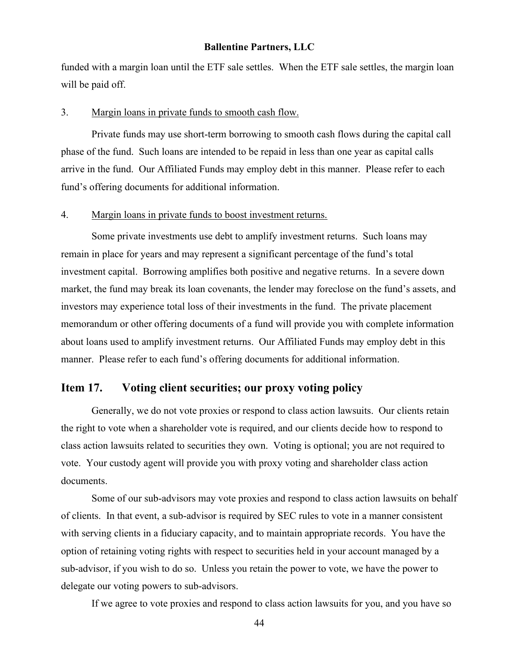funded with a margin loan until the ETF sale settles. When the ETF sale settles, the margin loan will be paid off.

#### 3. Margin loans in private funds to smooth cash flow.

Private funds may use short-term borrowing to smooth cash flows during the capital call phase of the fund. Such loans are intended to be repaid in less than one year as capital calls arrive in the fund. Our Affiliated Funds may employ debt in this manner. Please refer to each fund's offering documents for additional information.

## 4. Margin loans in private funds to boost investment returns.

Some private investments use debt to amplify investment returns. Such loans may remain in place for years and may represent a significant percentage of the fund's total investment capital. Borrowing amplifies both positive and negative returns. In a severe down market, the fund may break its loan covenants, the lender may foreclose on the fund's assets, and investors may experience total loss of their investments in the fund. The private placement memorandum or other offering documents of a fund will provide you with complete information about loans used to amplify investment returns. Our Affiliated Funds may employ debt in this manner. Please refer to each fund's offering documents for additional information.

# **Item 17. Voting client securities; our proxy voting policy**

Generally, we do not vote proxies or respond to class action lawsuits. Our clients retain the right to vote when a shareholder vote is required, and our clients decide how to respond to class action lawsuits related to securities they own. Voting is optional; you are not required to vote. Your custody agent will provide you with proxy voting and shareholder class action documents.

Some of our sub-advisors may vote proxies and respond to class action lawsuits on behalf of clients. In that event, a sub-advisor is required by SEC rules to vote in a manner consistent with serving clients in a fiduciary capacity, and to maintain appropriate records. You have the option of retaining voting rights with respect to securities held in your account managed by a sub-advisor, if you wish to do so. Unless you retain the power to vote, we have the power to delegate our voting powers to sub-advisors.

If we agree to vote proxies and respond to class action lawsuits for you, and you have so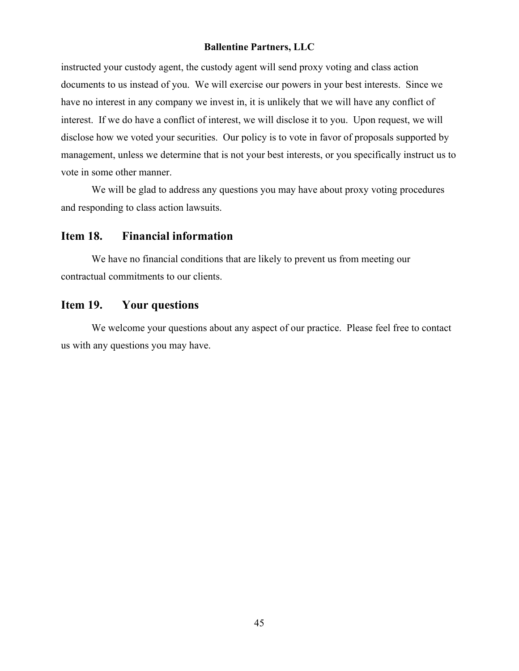instructed your custody agent, the custody agent will send proxy voting and class action documents to us instead of you. We will exercise our powers in your best interests. Since we have no interest in any company we invest in, it is unlikely that we will have any conflict of interest. If we do have a conflict of interest, we will disclose it to you. Upon request, we will disclose how we voted your securities. Our policy is to vote in favor of proposals supported by management, unless we determine that is not your best interests, or you specifically instruct us to vote in some other manner.

We will be glad to address any questions you may have about proxy voting procedures and responding to class action lawsuits.

## **Item 18. Financial information**

We have no financial conditions that are likely to prevent us from meeting our contractual commitments to our clients.

## **Item 19. Your questions**

We welcome your questions about any aspect of our practice. Please feel free to contact us with any questions you may have.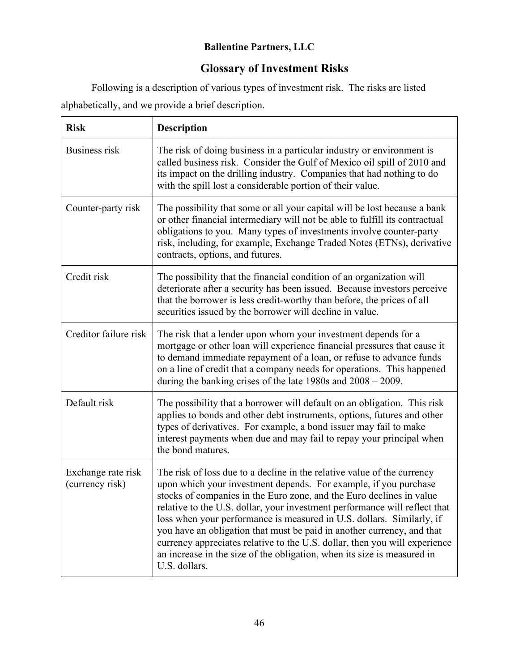# **Glossary of Investment Risks**

Following is a description of various types of investment risk. The risks are listed alphabetically, and we provide a brief description.

| <b>Risk</b>                           | <b>Description</b>                                                                                                                                                                                                                                                                                                                                                                                                                                                                                                                                                                                                             |  |  |  |
|---------------------------------------|--------------------------------------------------------------------------------------------------------------------------------------------------------------------------------------------------------------------------------------------------------------------------------------------------------------------------------------------------------------------------------------------------------------------------------------------------------------------------------------------------------------------------------------------------------------------------------------------------------------------------------|--|--|--|
| Business risk                         | The risk of doing business in a particular industry or environment is<br>called business risk. Consider the Gulf of Mexico oil spill of 2010 and<br>its impact on the drilling industry. Companies that had nothing to do<br>with the spill lost a considerable portion of their value.                                                                                                                                                                                                                                                                                                                                        |  |  |  |
| Counter-party risk                    | The possibility that some or all your capital will be lost because a bank<br>or other financial intermediary will not be able to fulfill its contractual<br>obligations to you. Many types of investments involve counter-party<br>risk, including, for example, Exchange Traded Notes (ETNs), derivative<br>contracts, options, and futures.                                                                                                                                                                                                                                                                                  |  |  |  |
| Credit risk                           | The possibility that the financial condition of an organization will<br>deteriorate after a security has been issued. Because investors perceive<br>that the borrower is less credit-worthy than before, the prices of all<br>securities issued by the borrower will decline in value.                                                                                                                                                                                                                                                                                                                                         |  |  |  |
| Creditor failure risk                 | The risk that a lender upon whom your investment depends for a<br>mortgage or other loan will experience financial pressures that cause it<br>to demand immediate repayment of a loan, or refuse to advance funds<br>on a line of credit that a company needs for operations. This happened<br>during the banking crises of the late $1980s$ and $2008 - 2009$ .                                                                                                                                                                                                                                                               |  |  |  |
| Default risk                          | The possibility that a borrower will default on an obligation. This risk<br>applies to bonds and other debt instruments, options, futures and other<br>types of derivatives. For example, a bond issuer may fail to make<br>interest payments when due and may fail to repay your principal when<br>the bond matures.                                                                                                                                                                                                                                                                                                          |  |  |  |
| Exchange rate risk<br>(currency risk) | The risk of loss due to a decline in the relative value of the currency<br>upon which your investment depends. For example, if you purchase<br>stocks of companies in the Euro zone, and the Euro declines in value<br>relative to the U.S. dollar, your investment performance will reflect that<br>loss when your performance is measured in U.S. dollars. Similarly, if<br>you have an obligation that must be paid in another currency, and that<br>currency appreciates relative to the U.S. dollar, then you will experience<br>an increase in the size of the obligation, when its size is measured in<br>U.S. dollars. |  |  |  |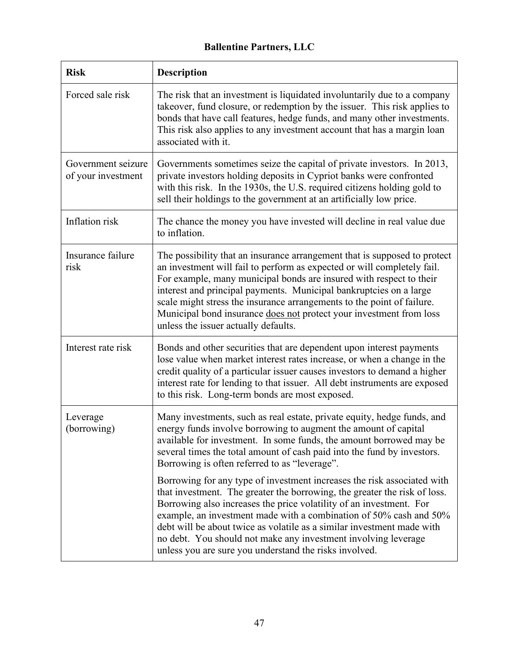| <b>Risk</b>                              | <b>Description</b>                                                                                                                                                                                                                                                                                                                                                                                                                                                                                      |
|------------------------------------------|---------------------------------------------------------------------------------------------------------------------------------------------------------------------------------------------------------------------------------------------------------------------------------------------------------------------------------------------------------------------------------------------------------------------------------------------------------------------------------------------------------|
| Forced sale risk                         | The risk that an investment is liquidated involuntarily due to a company<br>takeover, fund closure, or redemption by the issuer. This risk applies to<br>bonds that have call features, hedge funds, and many other investments.<br>This risk also applies to any investment account that has a margin loan<br>associated with it.                                                                                                                                                                      |
| Government seizure<br>of your investment | Governments sometimes seize the capital of private investors. In 2013,<br>private investors holding deposits in Cypriot banks were confronted<br>with this risk. In the 1930s, the U.S. required citizens holding gold to<br>sell their holdings to the government at an artificially low price.                                                                                                                                                                                                        |
| Inflation risk                           | The chance the money you have invested will decline in real value due<br>to inflation.                                                                                                                                                                                                                                                                                                                                                                                                                  |
| Insurance failure<br>risk                | The possibility that an insurance arrangement that is supposed to protect<br>an investment will fail to perform as expected or will completely fail.<br>For example, many municipal bonds are insured with respect to their<br>interest and principal payments. Municipal bankruptcies on a large<br>scale might stress the insurance arrangements to the point of failure.<br>Municipal bond insurance does not protect your investment from loss<br>unless the issuer actually defaults.              |
| Interest rate risk                       | Bonds and other securities that are dependent upon interest payments<br>lose value when market interest rates increase, or when a change in the<br>credit quality of a particular issuer causes investors to demand a higher<br>interest rate for lending to that issuer. All debt instruments are exposed<br>to this risk. Long-term bonds are most exposed.                                                                                                                                           |
| Leverage<br>(borrowing)                  | Many investments, such as real estate, private equity, hedge funds, and<br>energy funds involve borrowing to augment the amount of capital<br>available for investment. In some funds, the amount borrowed may be<br>several times the total amount of cash paid into the fund by investors.<br>Borrowing is often referred to as "leverage".                                                                                                                                                           |
|                                          | Borrowing for any type of investment increases the risk associated with<br>that investment. The greater the borrowing, the greater the risk of loss.<br>Borrowing also increases the price volatility of an investment. For<br>example, an investment made with a combination of 50% cash and 50%<br>debt will be about twice as volatile as a similar investment made with<br>no debt. You should not make any investment involving leverage<br>unless you are sure you understand the risks involved. |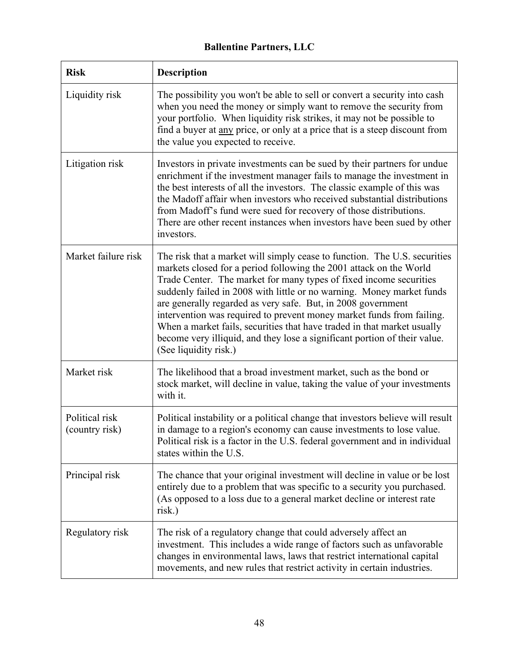| <b>Risk</b>                      | <b>Description</b>                                                                                                                                                                                                                                                                                                                                                                                                                                                                                                                                                                                                       |
|----------------------------------|--------------------------------------------------------------------------------------------------------------------------------------------------------------------------------------------------------------------------------------------------------------------------------------------------------------------------------------------------------------------------------------------------------------------------------------------------------------------------------------------------------------------------------------------------------------------------------------------------------------------------|
| Liquidity risk                   | The possibility you won't be able to sell or convert a security into cash<br>when you need the money or simply want to remove the security from<br>your portfolio. When liquidity risk strikes, it may not be possible to<br>find a buyer at any price, or only at a price that is a steep discount from<br>the value you expected to receive.                                                                                                                                                                                                                                                                           |
| Litigation risk                  | Investors in private investments can be sued by their partners for undue<br>enrichment if the investment manager fails to manage the investment in<br>the best interests of all the investors. The classic example of this was<br>the Madoff affair when investors who received substantial distributions<br>from Madoff's fund were sued for recovery of those distributions.<br>There are other recent instances when investors have been sued by other<br>investors.                                                                                                                                                  |
| Market failure risk              | The risk that a market will simply cease to function. The U.S. securities<br>markets closed for a period following the 2001 attack on the World<br>Trade Center. The market for many types of fixed income securities<br>suddenly failed in 2008 with little or no warning. Money market funds<br>are generally regarded as very safe. But, in 2008 government<br>intervention was required to prevent money market funds from failing.<br>When a market fails, securities that have traded in that market usually<br>become very illiquid, and they lose a significant portion of their value.<br>(See liquidity risk.) |
| Market risk                      | The likelihood that a broad investment market, such as the bond or<br>stock market, will decline in value, taking the value of your investments<br>with it.                                                                                                                                                                                                                                                                                                                                                                                                                                                              |
| Political risk<br>(country risk) | Political instability or a political change that investors believe will result<br>in damage to a region's economy can cause investments to lose value.<br>Political risk is a factor in the U.S. federal government and in individual<br>states within the U.S.                                                                                                                                                                                                                                                                                                                                                          |
| Principal risk                   | The chance that your original investment will decline in value or be lost<br>entirely due to a problem that was specific to a security you purchased.<br>(As opposed to a loss due to a general market decline or interest rate<br>risk.)                                                                                                                                                                                                                                                                                                                                                                                |
| Regulatory risk                  | The risk of a regulatory change that could adversely affect an<br>investment. This includes a wide range of factors such as unfavorable<br>changes in environmental laws, laws that restrict international capital<br>movements, and new rules that restrict activity in certain industries.                                                                                                                                                                                                                                                                                                                             |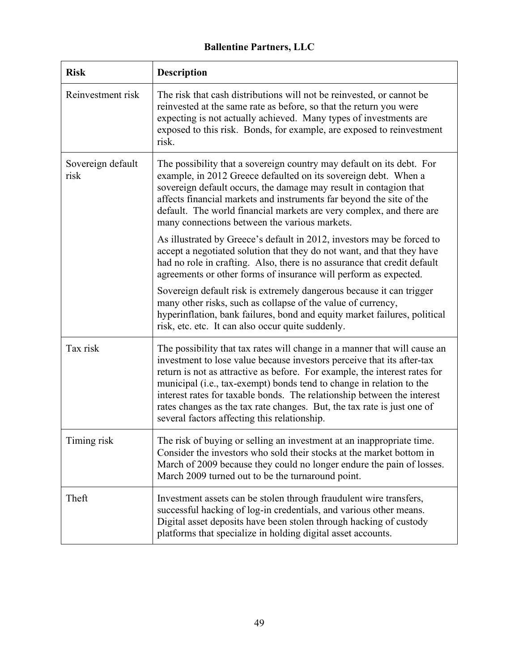| <b>Risk</b>               | <b>Description</b>                                                                                                                                                                                                                                                                                                                                                                                                                                                                                              |
|---------------------------|-----------------------------------------------------------------------------------------------------------------------------------------------------------------------------------------------------------------------------------------------------------------------------------------------------------------------------------------------------------------------------------------------------------------------------------------------------------------------------------------------------------------|
| Reinvestment risk         | The risk that cash distributions will not be reinvested, or cannot be<br>reinvested at the same rate as before, so that the return you were<br>expecting is not actually achieved. Many types of investments are<br>exposed to this risk. Bonds, for example, are exposed to reinvestment<br>risk.                                                                                                                                                                                                              |
| Sovereign default<br>risk | The possibility that a sovereign country may default on its debt. For<br>example, in 2012 Greece defaulted on its sovereign debt. When a<br>sovereign default occurs, the damage may result in contagion that<br>affects financial markets and instruments far beyond the site of the<br>default. The world financial markets are very complex, and there are<br>many connections between the various markets.                                                                                                  |
|                           | As illustrated by Greece's default in 2012, investors may be forced to<br>accept a negotiated solution that they do not want, and that they have<br>had no role in crafting. Also, there is no assurance that credit default<br>agreements or other forms of insurance will perform as expected.                                                                                                                                                                                                                |
|                           | Sovereign default risk is extremely dangerous because it can trigger<br>many other risks, such as collapse of the value of currency,<br>hyperinflation, bank failures, bond and equity market failures, political<br>risk, etc. etc. It can also occur quite suddenly.                                                                                                                                                                                                                                          |
| Tax risk                  | The possibility that tax rates will change in a manner that will cause an<br>investment to lose value because investors perceive that its after-tax<br>return is not as attractive as before. For example, the interest rates for<br>municipal (i.e., tax-exempt) bonds tend to change in relation to the<br>interest rates for taxable bonds. The relationship between the interest<br>rates changes as the tax rate changes. But, the tax rate is just one of<br>several factors affecting this relationship. |
| Timing risk               | The risk of buying or selling an investment at an inappropriate time.<br>Consider the investors who sold their stocks at the market bottom in<br>March of 2009 because they could no longer endure the pain of losses.<br>March 2009 turned out to be the turnaround point.                                                                                                                                                                                                                                     |
| Theft                     | Investment assets can be stolen through fraudulent wire transfers,<br>successful hacking of log-in credentials, and various other means.<br>Digital asset deposits have been stolen through hacking of custody<br>platforms that specialize in holding digital asset accounts.                                                                                                                                                                                                                                  |